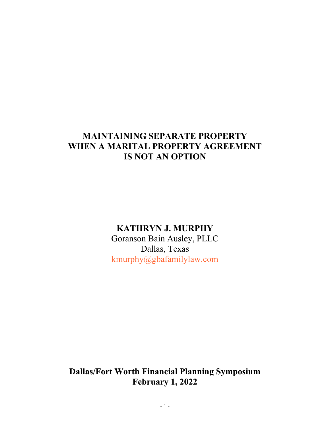# **MAINTAINING SEPARATE PROPERTY WHEN A MARITAL PROPERTY AGREEMENT IS NOT AN OPTION**

# **KATHRYN J. MURPHY**

Goranson Bain Ausley, PLLC Dallas, Texas [kmurphy@gbafamilylaw.com](mailto:kmurphy@gbafamilylaw.com)

**Dallas/Fort Worth Financial Planning Symposium February 1, 2022**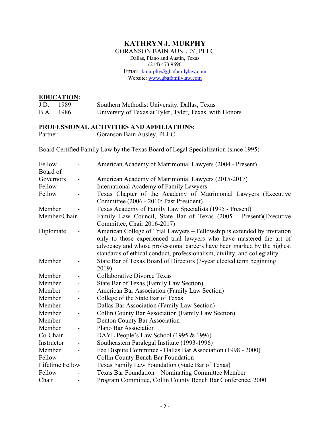# **KATHRYN J. MURPHY**

GORANSON BAIN AUSLEY, PLLC Dallas, Plano and Austin, Texas (214) 473.9696 Email: [kmurphy@gbafamilylaw.com](mailto:Kathryn@koonsfuller.com) Website: [www.gbafamilylaw.com](http://www.gbafamilylaw.com/)

#### **EDUCATION:**

| J.D. | - 1989    | Southern Methodist University, Dallas, Texas            |
|------|-----------|---------------------------------------------------------|
|      | B.A. 1986 | University of Texas at Tyler, Tyler, Texas, with Honors |

#### **PROFESSIONAL ACTIVITIES AND AFFILIATIONS:**

Partner - Goranson Bain Ausley, PLLC

Board Certified Family Law by the Texas Board of Legal Specialization (since 1995)

| Fellow          |                          | American Academy of Matrimonial Lawyers (2004 - Present)                   |
|-----------------|--------------------------|----------------------------------------------------------------------------|
| Board of        |                          |                                                                            |
| Governors       | -                        | American Academy of Matrimonial Lawyers (2015-2017)                        |
| Fellow          | -                        | International Academy of Family Lawyers                                    |
| Fellow          |                          | Texas Chapter of the Academy of Matrimonial Lawyers (Executive             |
|                 |                          | Committee (2006 - 2010; Past President)                                    |
| Member          |                          | Texas Academy of Family Law Specialists (1995 - Present)                   |
| Member/Chair-   |                          | Family Law Council, State Bar of Texas (2005 - Present)(Executive          |
|                 |                          | Committee, Chair 2016-2017)                                                |
| Diplomate       |                          | American College of Trial Lawyers – Fellowship is extended by invitation   |
|                 |                          | only to those experienced trial lawyers who have mastered the art of       |
|                 |                          | advocacy and whose professional careers have been marked by the highest    |
|                 |                          | standards of ethical conduct, professionalism, civility, and collegiality. |
| Member          |                          | State Bar of Texas Board of Directors (3-year elected term beginning       |
|                 |                          | 2019)                                                                      |
| Member          |                          | <b>Collaborative Divorce Texas</b>                                         |
| Member          |                          | State Bar of Texas (Family Law Section)                                    |
| Member          | -                        | American Bar Association (Family Law Section)                              |
| Member          |                          | College of the State Bar of Texas                                          |
| Member          | $\overline{\phantom{0}}$ | Dallas Bar Association (Family Law Section)                                |
| Member          |                          | Collin County Bar Association (Family Law Section)                         |
| Member          | -                        | Denton County Bar Association                                              |
| Member          |                          | Plano Bar Association                                                      |
| Co-Chair        | $\overline{\phantom{a}}$ | DAYL People's Law School (1995 & 1996)                                     |
| Instructor      |                          | Southeastern Paralegal Institute (1993-1996)                               |
| Member          | $\overline{\phantom{0}}$ | Fee Dispute Committee - Dallas Bar Association (1998 - 2000)               |
| Fellow          |                          | Collin County Bench Bar Foundation                                         |
| Lifetime Fellow |                          | Texas Family Law Foundation (State Bar of Texas)                           |
| Fellow          |                          | Texas Bar Foundation – Nominating Committee Member                         |
| Chair           |                          | Program Committee, Collin County Bench Bar Conference, 2000                |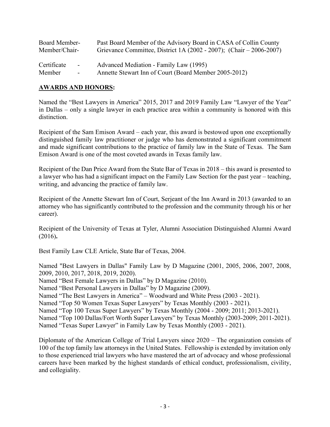| Board Member- |        | Past Board Member of the Advisory Board in CASA of Collin County           |
|---------------|--------|----------------------------------------------------------------------------|
| Member/Chair- |        | Grievance Committee, District 1A $(2002 - 2007)$ ; $(Chair - 2006 - 2007)$ |
| Certificate   | $\sim$ | Advanced Mediation - Family Law (1995)                                     |
| Member        | $\sim$ | Annette Stewart Inn of Court (Board Member 2005-2012)                      |

#### **AWARDS AND HONORS:**

Named the "Best Lawyers in America" 2015, 2017 and 2019 Family Law "Lawyer of the Year" in Dallas – only a single lawyer in each practice area within a community is honored with this distinction.

Recipient of the Sam Emison Award – each year, this award is bestowed upon one exceptionally distinguished family law practitioner or judge who has demonstrated a significant commitment and made significant contributions to the practice of family law in the State of Texas. The Sam Emison Award is one of the most coveted awards in Texas family law.

Recipient of the Dan Price Award from the State Bar of Texas in 2018 – this award is presented to a lawyer who has had a significant impact on the Family Law Section for the past year – teaching, writing, and advancing the practice of family law.

Recipient of the Annette Stewart Inn of Court, Serjeant of the Inn Award in 2013 (awarded to an attorney who has significantly contributed to the profession and the community through his or her career).

Recipient of the University of Texas at Tyler, Alumni Association Distinguished Alumni Award (2016)**.**

Best Family Law CLE Article, State Bar of Texas, 2004.

Named "Best Lawyers in Dallas" Family Law by D Magazine (2001, 2005, 2006, 2007, 2008, 2009, 2010, 2017, 2018, 2019, 2020).

Named "Best Female Lawyers in Dallas" by D Magazine (2010).

Named "Best Personal Lawyers in Dallas" by D Magazine (2009).

Named "The Best Lawyers in America" – Woodward and White Press (2003 - 2021).

Named "Top 50 Women Texas Super Lawyers" by Texas Monthly (2003 - 2021).

Named "Top 100 Texas Super Lawyers" by Texas Monthly (2004 - 2009; 2011; 2013-2021).

Named "Top 100 Dallas/Fort Worth Super Lawyers" by Texas Monthly (2003-2009; 2011-2021). Named "Texas Super Lawyer" in Family Law by Texas Monthly (2003 - 2021).

Diplomate of the American College of Trial Lawyers since 2020 – The organization consists of 100 of the top family law attorneys in the United States. Fellowship is extended by invitation only to those experienced trial lawyers who have mastered the art of advocacy and whose professional careers have been marked by the highest standards of ethical conduct, professionalism, civility, and collegiality.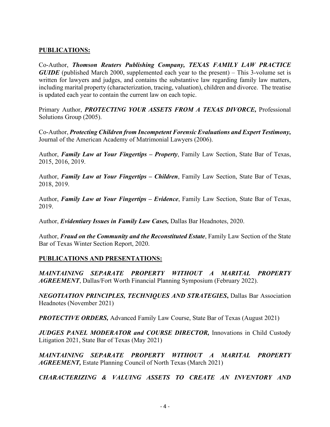### **PUBLICATIONS:**

Co-Author, *Thomson Reuters Publishing Company, TEXAS FAMILY LAW PRACTICE GUIDE* (published March 2000, supplemented each year to the present) – This 3-volume set is written for lawyers and judges, and contains the substantive law regarding family law matters, including marital property (characterization, tracing, valuation), children and divorce. The treatise is updated each year to contain the current law on each topic.

Primary Author, *PROTECTING YOUR ASSETS FROM A TEXAS DIVORCE,* Professional Solutions Group (2005).

Co-Author, *Protecting Children from Incompetent Forensic Evaluations and Expert Testimony,* Journal of the American Academy of Matrimonial Lawyers (2006).

Author, *Family Law at Your Fingertips – Property*, Family Law Section, State Bar of Texas, 2015, 2016, 2019.

Author, *Family Law at Your Fingertips – Children*, Family Law Section, State Bar of Texas, 2018, 2019.

Author, *Family Law at Your Fingertips – Evidence*, Family Law Section, State Bar of Texas, 2019.

Author, *Evidentiary Issues in Family Law Cases,* Dallas Bar Headnotes, 2020.

Author, *Fraud on the Community and the Reconstituted Estate*, Family Law Section of the State Bar of Texas Winter Section Report, 2020.

#### **PUBLICATIONS AND PRESENTATIONS:**

*MAINTAINING SEPARATE PROPERTY WITHOUT A MARITAL PROPERTY AGREEMENT*, Dallas/Fort Worth Financial Planning Symposium (February 2022).

*NEGOTIATION PRINCIPLES, TECHNIQUES AND STRATEGIES***,** Dallas Bar Association Headnotes (November 2021)

**PROTECTIVE ORDERS,** Advanced Family Law Course, State Bar of Texas (August 2021)

*JUDGES PANEL MODERATOR and COURSE DIRECTOR, Innovations in Child Custody* Litigation 2021, State Bar of Texas (May 2021)

*MAINTAINING SEPARATE PROPERTY WITHOUT A MARITAL PROPERTY AGREEMENT,* Estate Planning Council of North Texas (March 2021)

*CHARACTERIZING & VALUING ASSETS TO CREATE AN INVENTORY AND*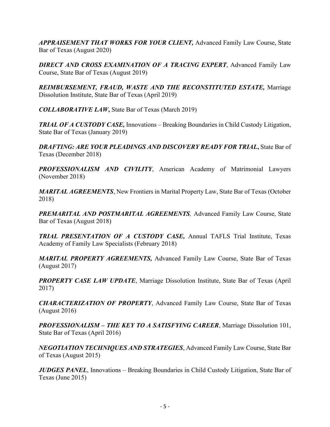*APPRAISEMENT THAT WORKS FOR YOUR CLIENT,* Advanced Family Law Course, State Bar of Texas (August 2020)

*DIRECT AND CROSS EXAMINATION OF A TRACING EXPERT*, Advanced Family Law Course, State Bar of Texas (August 2019)

*REIMBURSEMENT, FRAUD, WASTE AND THE RECONSTITUTED ESTATE,* Marriage Dissolution Institute, State Bar of Texas (April 2019)

*COLLABORATIVE LAW***,** State Bar of Texas (March 2019)

*TRIAL OF A CUSTODY CASE,* Innovations – Breaking Boundaries in Child Custody Litigation, State Bar of Texas (January 2019)

*DRAFTING: ARE YOUR PLEADINGS AND DISCOVERY READY FOR TRIAL***,** State Bar of Texas (December 2018)

*PROFESSIONALISM AND CIVILITY*, American Academy of Matrimonial Lawyers (November 2018)

*MARITAL AGREEMENTS*, New Frontiers in Marital Property Law, State Bar of Texas (October 2018)

*PREMARITAL AND POSTMARITAL AGREEMENTS,* Advanced Family Law Course, State Bar of Texas (August 2018)

*TRIAL PRESENTATION OF A CUSTODY CASE,* Annual TAFLS Trial Institute, Texas Academy of Family Law Specialists (February 2018)

*MARITAL PROPERTY AGREEMENTS,* Advanced Family Law Course, State Bar of Texas (August 2017)

**PROPERTY CASE LAW UPDATE**, Marriage Dissolution Institute, State Bar of Texas (April 2017)

*CHARACTERIZATION OF PROPERTY*, Advanced Family Law Course, State Bar of Texas (August 2016)

*PROFESSIONALISM – THE KEY TO A SATISFYING CAREER*, Marriage Dissolution 101, State Bar of Texas (April 2016)

*NEGOTIATION TECHNIQUES AND STRATEGIES*, Advanced Family Law Course, State Bar of Texas (August 2015)

*JUDGES PANEL*, Innovations – Breaking Boundaries in Child Custody Litigation, State Bar of Texas (June 2015)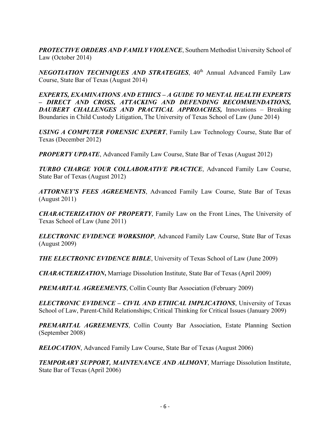**PROTECTIVE ORDERS AND FAMILY VIOLENCE, Southern Methodist University School of** Law (October 2014)

*NEGOTIATION TECHNIQUES AND STRATEGIES*, 40<sup>th</sup> Annual Advanced Family Law Course, State Bar of Texas (August 2014)

*EXPERTS, EXAMINATIONS AND ETHICS – A GUIDE TO MENTAL HEALTH EXPERTS – DIRECT AND CROSS, ATTACKING AND DEFENDING RECOMMENDATIONS, DAUBERT CHALLENGES AND PRACTICAL APPROACHES,* Innovations – Breaking Boundaries in Child Custody Litigation, The University of Texas School of Law (June 2014)

*USING A COMPUTER FORENSIC EXPERT*, Family Law Technology Course, State Bar of Texas (December 2012)

*PROPERTY UPDATE*, Advanced Family Law Course, State Bar of Texas (August 2012)

*TURBO CHARGE YOUR COLLABORATIVE PRACTICE*, Advanced Family Law Course, State Bar of Texas (August 2012)

*ATTORNEY'S FEES AGREEMENTS*, Advanced Family Law Course, State Bar of Texas (August 2011)

*CHARACTERIZATION OF PROPERTY*, Family Law on the Front Lines, The University of Texas School of Law (June 2011)

*ELECTRONIC EVIDENCE WORKSHOP*, Advanced Family Law Course, State Bar of Texas (August 2009)

*THE ELECTRONIC EVIDENCE BIBLE*, University of Texas School of Law (June 2009)

*CHARACTERIZATION***,** Marriage Dissolution Institute, State Bar of Texas (April 2009)

*PREMARITAL AGREEMENTS*, Collin County Bar Association (February 2009)

*ELECTRONIC EVIDENCE – CIVIL AND ETHICAL IMPLICATIONS*, University of Texas School of Law, Parent-Child Relationships; Critical Thinking for Critical Issues (January 2009)

*PREMARITAL AGREEMENTS*, Collin County Bar Association, Estate Planning Section (September 2008)

*RELOCATION*, Advanced Family Law Course, State Bar of Texas (August 2006)

*TEMPORARY SUPPORT, MAINTENANCE AND ALIMONY*, Marriage Dissolution Institute, State Bar of Texas (April 2006)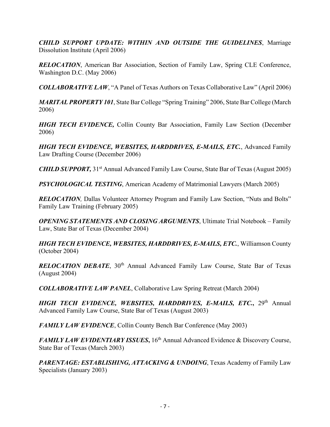*CHILD SUPPORT UPDATE: WITHIN AND OUTSIDE THE GUIDELINES*, Marriage Dissolution Institute (April 2006)

*RELOCATION*, American Bar Association, Section of Family Law, Spring CLE Conference, Washington D.C. (May 2006)

*COLLABORATIVE LAW*, "A Panel of Texas Authors on Texas Collaborative Law" (April 2006)

*MARITAL PROPERTY 101*, State Bar College "Spring Training" 2006, State Bar College (March 2006)

*HIGH TECH EVIDENCE,* Collin County Bar Association, Family Law Section (December 2006)

*HIGH TECH EVIDENCE, WEBSITES, HARDDRIVES, E-MAILS, ETC.*, Advanced Family Law Drafting Course (December 2006)

*CHILD SUPPORT*, 31<sup>st</sup> Annual Advanced Family Law Course, State Bar of Texas (August 2005)

*PSYCHOLOGICAL TESTING*, American Academy of Matrimonial Lawyers (March 2005)

*RELOCATION*, Dallas Volunteer Attorney Program and Family Law Section, "Nuts and Bolts" Family Law Training (February 2005)

*OPENING STATEMENTS AND CLOSING ARGUMENTS*, Ultimate Trial Notebook – Family Law, State Bar of Texas (December 2004)

*HIGH TECH EVIDENCE, WEBSITES, HARDDRIVES, E-MAILS, ETC.*, Williamson County (October 2004)

*RELOCATION DEBATE*, 30<sup>th</sup> Annual Advanced Family Law Course, State Bar of Texas (August 2004)

*COLLABORATIVE LAW PANEL*, Collaborative Law Spring Retreat (March 2004)

*HIGH TECH EVIDENCE, WEBSITES, HARDDRIVES, E-MAILS, ETC.***,** 29th Annual Advanced Family Law Course, State Bar of Texas (August 2003)

*FAMILY LAW EVIDENCE*, Collin County Bench Bar Conference (May 2003)

*FAMILY LAW EVIDENTIARY ISSUES*, 16<sup>th</sup> Annual Advanced Evidence & Discovery Course, State Bar of Texas (March 2003)

PARENTAGE: ESTABLISHING, ATTACKING & UNDOING, Texas Academy of Family Law Specialists (January 2003)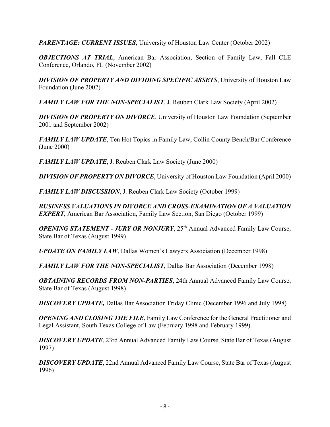*PARENTAGE: CURRENT ISSUES*, University of Houston Law Center (October 2002)

*OBJECTIONS AT TRIAL*, American Bar Association, Section of Family Law, Fall CLE Conference, Orlando, FL (November 2002)

*DIVISION OF PROPERTY AND DIVIDING SPECIFIC ASSETS*, University of Houston Law Foundation (June 2002)

*FAMILY LAW FOR THE NON-SPECIALIST*, J. Reuben Clark Law Society (April 2002)

*DIVISION OF PROPERTY ON DIVORCE*, University of Houston Law Foundation (September 2001 and September 2002)

*FAMILY LAW UPDATE*, Ten Hot Topics in Family Law, Collin County Bench/Bar Conference (June 2000)

*FAMILY LAW UPDATE*, J. Reuben Clark Law Society (June 2000)

*DIVISION OF PROPERTY ON DIVORCE*, University of Houston Law Foundation (April 2000)

*FAMILY LAW DISCUSSION*, J. Reuben Clark Law Society (October 1999)

*BUSINESS VALUATIONS IN DIVORCE AND CROSS-EXAMINATION OF A VALUATION EXPERT*, American Bar Association, Family Law Section, San Diego (October 1999)

*OPENING STATEMENT - JURY OR NONJURY*, 25<sup>th</sup> Annual Advanced Family Law Course, State Bar of Texas (August 1999)

*UPDATE ON FAMILY LAW*, Dallas Women's Lawyers Association (December 1998)

*FAMILY LAW FOR THE NON-SPECIALIST*, Dallas Bar Association (December 1998)

*OBTAINING RECORDS FROM NON-PARTIES*, 24th Annual Advanced Family Law Course, State Bar of Texas (August 1998)

*DISCOVERY UPDATE,* Dallas Bar Association Friday Clinic (December 1996 and July 1998)

*OPENING AND CLOSING THE FILE*, Family Law Conference for the General Practitioner and Legal Assistant, South Texas College of Law (February 1998 and February 1999)

*DISCOVERY UPDATE*, 23rd Annual Advanced Family Law Course, State Bar of Texas (August 1997)

*DISCOVERY UPDATE*, 22nd Annual Advanced Family Law Course, State Bar of Texas (August 1996)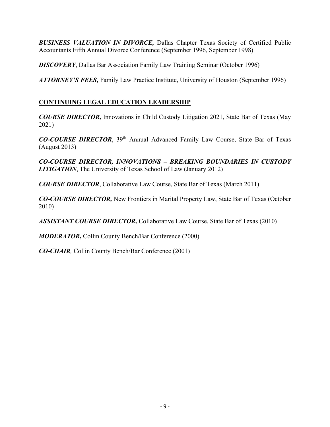*BUSINESS VALUATION IN DIVORCE,* Dallas Chapter Texas Society of Certified Public Accountants Fifth Annual Divorce Conference (September 1996, September 1998)

*DISCOVERY*, Dallas Bar Association Family Law Training Seminar (October 1996)

*ATTORNEY'S FEES,* Family Law Practice Institute, University of Houston (September 1996)

# **CONTINUING LEGAL EDUCATION LEADERSHIP**

*COURSE DIRECTOR,* Innovations in Child Custody Litigation 2021, State Bar of Texas (May 2021)

*CO-COURSE DIRECTOR*, 39th Annual Advanced Family Law Course, State Bar of Texas (August 2013)

*CO-COURSE DIRECTOR, INNOVATIONS – BREAKING BOUNDARIES IN CUSTODY LITIGATION*, The University of Texas School of Law (January 2012)

*COURSE DIRECTOR*, Collaborative Law Course, State Bar of Texas (March 2011)

*CO-COURSE DIRECTOR,* New Frontiers in Marital Property Law, State Bar of Texas (October 2010)

*ASSISTANT COURSE DIRECTOR,* Collaborative Law Course, State Bar of Texas (2010)

*MODERATOR***,** Collin County Bench/Bar Conference (2000)

*CO-CHAIR,* Collin County Bench/Bar Conference (2001)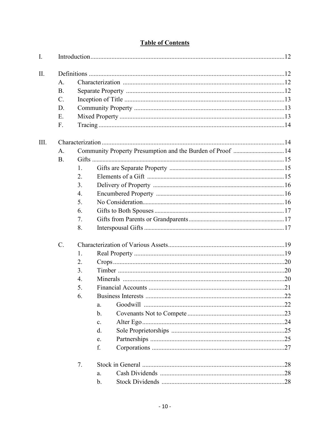| I.   |             |                  |                                                            |  |
|------|-------------|------------------|------------------------------------------------------------|--|
| Π.   |             |                  |                                                            |  |
|      | A.          |                  |                                                            |  |
|      | <b>B.</b>   |                  |                                                            |  |
|      | $C$ .       |                  |                                                            |  |
|      | D.          |                  |                                                            |  |
|      | Ε.          |                  |                                                            |  |
|      | F.          |                  |                                                            |  |
| III. |             |                  |                                                            |  |
|      | A.          |                  | Community Property Presumption and the Burden of Proof  14 |  |
|      | <b>B.</b>   |                  |                                                            |  |
|      |             | 1.               |                                                            |  |
|      |             | 2.               |                                                            |  |
|      |             | 3.               |                                                            |  |
|      |             | 4.               |                                                            |  |
|      |             | 5.               |                                                            |  |
|      |             | 6.               |                                                            |  |
|      |             | 7.               |                                                            |  |
|      |             | 8.               |                                                            |  |
|      | $C_{\cdot}$ |                  |                                                            |  |
|      |             | 1.               |                                                            |  |
|      |             | 2.               |                                                            |  |
|      |             | 3.               |                                                            |  |
|      |             | $\overline{4}$ . |                                                            |  |
|      |             | 5.               |                                                            |  |
|      |             | 6.               |                                                            |  |
|      |             |                  | a.                                                         |  |
|      |             |                  | $\mathbf{b}$ .                                             |  |
|      |             |                  | $\mathbf{c}$ .                                             |  |
|      |             |                  | $\mathbf{d}$ .                                             |  |
|      |             |                  | e.                                                         |  |
|      |             |                  | f.                                                         |  |
|      |             | 7.               |                                                            |  |
|      |             |                  | a.                                                         |  |
|      |             |                  | b.                                                         |  |

# **Table of Contents**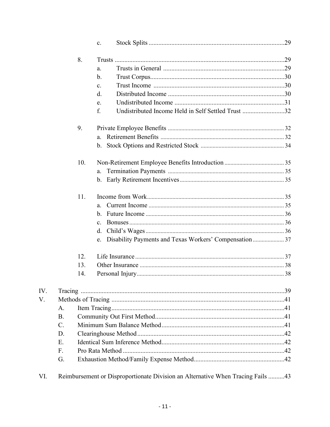|                 |     | $\mathbf{c}$ .                                            |  |  |  |  |  |
|-----------------|-----|-----------------------------------------------------------|--|--|--|--|--|
|                 | 8.  |                                                           |  |  |  |  |  |
|                 |     | a.                                                        |  |  |  |  |  |
|                 |     | b.                                                        |  |  |  |  |  |
|                 |     | $\mathbf{c}$ .                                            |  |  |  |  |  |
|                 |     | d.                                                        |  |  |  |  |  |
|                 |     | e.                                                        |  |  |  |  |  |
|                 |     | Undistributed Income Held in Self Settled Trust 32<br>f.  |  |  |  |  |  |
|                 | 9.  |                                                           |  |  |  |  |  |
|                 |     | a.                                                        |  |  |  |  |  |
|                 |     |                                                           |  |  |  |  |  |
|                 | 10. |                                                           |  |  |  |  |  |
|                 |     | a.                                                        |  |  |  |  |  |
|                 |     |                                                           |  |  |  |  |  |
|                 | 11. |                                                           |  |  |  |  |  |
|                 |     | a.                                                        |  |  |  |  |  |
|                 |     |                                                           |  |  |  |  |  |
|                 |     | $\mathbf{c}$ .                                            |  |  |  |  |  |
|                 |     | d.                                                        |  |  |  |  |  |
|                 |     | e. Disability Payments and Texas Workers' Compensation 37 |  |  |  |  |  |
|                 | 12. |                                                           |  |  |  |  |  |
|                 | 13. |                                                           |  |  |  |  |  |
|                 | 14. |                                                           |  |  |  |  |  |
|                 |     |                                                           |  |  |  |  |  |
|                 |     |                                                           |  |  |  |  |  |
| A.              |     |                                                           |  |  |  |  |  |
| <b>B.</b>       |     |                                                           |  |  |  |  |  |
| $\mathcal{C}$ . |     |                                                           |  |  |  |  |  |
| D.              |     |                                                           |  |  |  |  |  |
| Ε.              |     |                                                           |  |  |  |  |  |
| $F_{\cdot}$     |     |                                                           |  |  |  |  |  |
| G.              |     |                                                           |  |  |  |  |  |
|                 |     |                                                           |  |  |  |  |  |

VI. Reimbursement or Disproportionate Division an Alternative When Tracing Fails .........43

IV. V.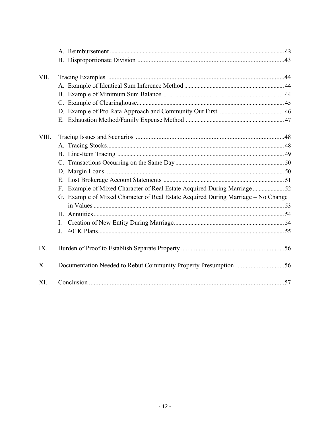| VII.  |                                                                                   |  |  |  |  |  |
|-------|-----------------------------------------------------------------------------------|--|--|--|--|--|
|       |                                                                                   |  |  |  |  |  |
|       |                                                                                   |  |  |  |  |  |
|       |                                                                                   |  |  |  |  |  |
|       |                                                                                   |  |  |  |  |  |
|       |                                                                                   |  |  |  |  |  |
| VIII. |                                                                                   |  |  |  |  |  |
|       |                                                                                   |  |  |  |  |  |
|       |                                                                                   |  |  |  |  |  |
|       |                                                                                   |  |  |  |  |  |
|       |                                                                                   |  |  |  |  |  |
|       | E.                                                                                |  |  |  |  |  |
|       | Example of Mixed Character of Real Estate Acquired During Marriage  52<br>F.      |  |  |  |  |  |
|       | G. Example of Mixed Character of Real Estate Acquired During Marriage - No Change |  |  |  |  |  |
|       |                                                                                   |  |  |  |  |  |
|       |                                                                                   |  |  |  |  |  |
|       | I.                                                                                |  |  |  |  |  |
|       | J.                                                                                |  |  |  |  |  |
| IX.   |                                                                                   |  |  |  |  |  |
| X.    |                                                                                   |  |  |  |  |  |
| XI.   |                                                                                   |  |  |  |  |  |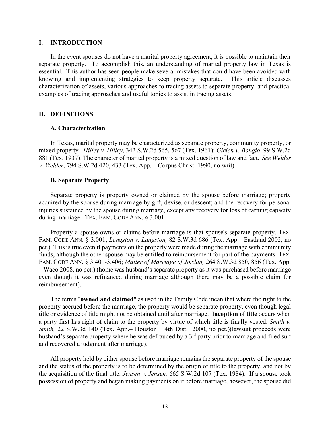#### **I. INTRODUCTION**

In the event spouses do not have a marital property agreement, it is possible to maintain their separate property. To accomplish this, an understanding of marital property law in Texas is essential. This author has seen people make several mistakes that could have been avoided with knowing and implementing strategies to keep property separate. This article discusses characterization of assets, various approaches to tracing assets to separate property, and practical examples of tracing approaches and useful topics to assist in tracing assets.

### **II. DEFINITIONS**

#### **A. Characterization**

In Texas, marital property may be characterized as separate property, community property, or mixed property. *Hilley v. Hilley*, 342 S.W.2d 565, 567 (Tex. 1961); *Gleich v. Bongio*, 99 S.W.2d 881 (Tex. 1937). The character of marital property is a mixed question of law and fact. *See Welder v. Welder*, 794 S.W.2d 420, 433 (Tex. App. – Corpus Christi 1990, no writ).

#### **B. Separate Property**

Separate property is property owned or claimed by the spouse before marriage; property acquired by the spouse during marriage by gift, devise, or descent; and the recovery for personal injuries sustained by the spouse during marriage, except any recovery for loss of earning capacity during marriage. TEX. FAM. CODE ANN. § 3.001.

Property a spouse owns or claims before marriage is that spouse's separate property. TEX. FAM. CODE ANN. § 3.001; *Langston v. Langston,* 82 S.W.3d 686 (Tex. App.– Eastland 2002, no pet.). This is true even if payments on the property were made during the marriage with community funds, although the other spouse may be entitled to reimbursement for part of the payments. TEX. FAM. CODE ANN. § 3.401-3.406; *Matter of Marriage of Jordan,* 264 S.W.3d 850, 856 (Tex. App. – Waco 2008, no pet.) (home was husband's separate property as it was purchased before marriage even though it was refinanced during marriage although there may be a possible claim for reimbursement).

The terms "**owned and claimed**" as used in the Family Code mean that where the right to the property accrued before the marriage, the property would be separate property, even though legal title or evidence of title might not be obtained until after marriage. **Inception of title** occurs when a party first has right of claim to the property by virtue of which title is finally vested. *Smith v. Smith,* 22 S.W.3d 140 (Tex. App.– Houston [14th Dist.] 2000, no pet.)(lawsuit proceeds were husband's separate property where he was defrauded by a 3<sup>rd</sup> party prior to marriage and filed suit and recovered a judgment after marriage).

All property held by either spouse before marriage remains the separate property of the spouse and the status of the property is to be determined by the origin of title to the property, and not by the acquisition of the final title. *Jensen v. Jensen,* 665 S.W.2d 107 (Tex. 1984). If a spouse took possession of property and began making payments on it before marriage, however, the spouse did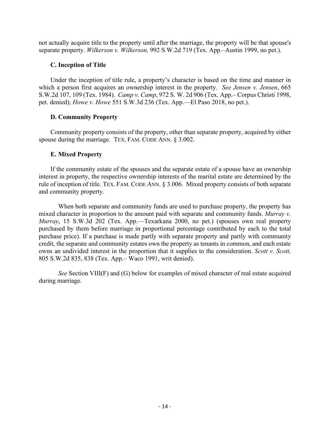not actually acquire title to the property until after the marriage, the property will be that spouse's separate property. *Wilkerson v. Wilkerson,* 992 S.W.2d 719 (Tex. App.–Austin 1999, no pet.).

### **C. Inception of Title**

Under the inception of title rule, a property's character is based on the time and manner in which a person first acquires an ownership interest in the property. *See Jensen v. Jensen*, 665 S.W.2d 107, 109 (Tex. 1984). *Camp v. Camp*, 972 S. W. 2d 906 (Tex. App.– Corpus Christi 1998, pet. denied); *Howe v. Howe* 551 S.W.3d 236 (Tex. App.—El Paso 2018, no pet.).

## **D. Community Property**

Community property consists of the property, other than separate property, acquired by either spouse during the marriage. TEX. FAM. CODE ANN. § 3.002.

## **E. Mixed Property**

If the community estate of the spouses and the separate estate of a spouse have an ownership interest in property, the respective ownership interests of the marital estate are determined by the rule of inception of title. TEX. FAM. CODE ANN. § 3.006. Mixed property consists of both separate and community property.

When both separate and community funds are used to purchase property, the property has mixed character in proportion to the amount paid with separate and community funds. *Murray v. Murray*, 15 S.W.3d 202 (Tex. App.—Texarkana 2000, no pet.) (spouses own real property purchased by them before marriage in proportional percentage contributed by each to the total purchase price). If a purchase is made partly with separate property and partly with community credit, the separate and community estates own the property as tenants in common, and each estate owns an undivided interest in the proportion that it supplies to the consideration. *Scott v. Scott,*  805 S.W.2d 835, 838 (Tex. App.– Waco 1991, writ denied).

*See* Section VIII(F) and (G) below for examples of mixed character of real estate acquired during marriage.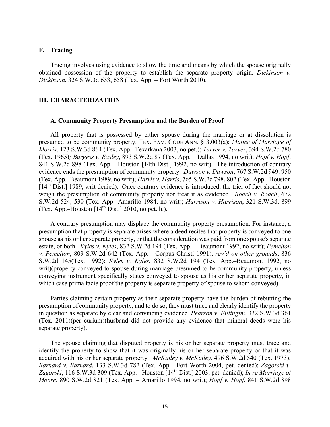#### **F. Tracing**

Tracing involves using evidence to show the time and means by which the spouse originally obtained possession of the property to establish the separate property origin. *Dickinson v. Dickinson*, 324 S.W.3d 653, 658 (Tex. App. – Fort Worth 2010).

#### **III. CHARACTERIZATION**

#### **A. Community Property Presumption and the Burden of Proof**

All property that is possessed by either spouse during the marriage or at dissolution is presumed to be community property. TEX. FAM. CODE ANN. § 3.003(a); *Matter of Marriage of Morris*, 123 S.W.3d 864 (Tex. App.–Texarkana 2003, no pet.); *Tarver v. Tarver*, 394 S.W.2d 780 (Tex. 1965)*; Burgess v. Easley*, 893 S.W.2d 87 (Tex. App. – Dallas 1994, no writ); *Hopf v. Hopf*, 841 S.W.2d 898 (Tex. App. - Houston [14th Dist.] 1992, no writ). The introduction of contrary evidence ends the presumption of community property. *Dawson v. Dawson*, 767 S.W.2d 949, 950 (Tex. App.–Beaumont 1989, no writ); *Harris v. Harris*, 765 S.W.2d 798, 802 (Tex. App.–Houston [14<sup>th</sup> Dist.] 1989, writ denied). Once contrary evidence is introduced, the trier of fact should not weigh the presumption of community property nor treat it as evidence. *Roach v. Roach*, 672 S.W.2d 524, 530 (Tex. App.–Amarillo 1984, no writ); *Harrison v. Harrison*, 321 S.W.3d. 899 (Tex. App.–Houston  $[14<sup>th</sup> Dist.]$  2010, no pet. h.).

A contrary presumption may displace the community property presumption. For instance, a presumption that property is separate arises where a deed recites that property is conveyed to one spouse as his or her separate property, or that the consideration was paid from one spouse's separate estate, or both. *Kyles v. Kyles*, 832 S.W.2d 194 (Tex. App. – Beaumont 1992, no writ); *Pemelton v. Pemelton*, 809 S.W.2d 642 (Tex. App. - Corpus Christi 1991), *rev'd on other grounds*, 836 S.W.2d 145(Tex. 1992); *Kyles v. Kyles*, 832 S.W.2d 194 (Tex. App.–Beaumont 1992, no writ)(property conveyed to spouse during marriage presumed to be community property, unless conveying instrument specifically states conveyed to spouse as his or her separate property, in which case prima facie proof the property is separate property of spouse to whom conveyed).

Parties claiming certain property as their separate property have the burden of rebutting the presumption of community property, and to do so, they must trace and clearly identify the property in question as separate by clear and convincing evidence. *Pearson v. Fillingim*, 332 S.W.3d 361 (Tex. 2011)(per curium)(husband did not provide any evidence that mineral deeds were his separate property).

The spouse claiming that disputed property is his or her separate property must trace and identify the property to show that it was originally his or her separate property or that it was acquired with his or her separate property. *McKinley v. McKinley,* 496 S.W.2d 540 (Tex. 1973); *Barnard v. Barnard*, 133 S.W.3d 782 (Tex. App.– Fort Worth 2004, pet. denied); *Zagorski v.*  Zagorski, 116 S.W.3d 309 (Tex. App.– Houston [14<sup>th</sup> Dist.] 2003, pet. denied); *In re Marriage of Moore*, 890 S.W.2d 821 (Tex. App. – Amarillo 1994, no writ); *Hopf v. Hopf*, 841 S.W.2d 898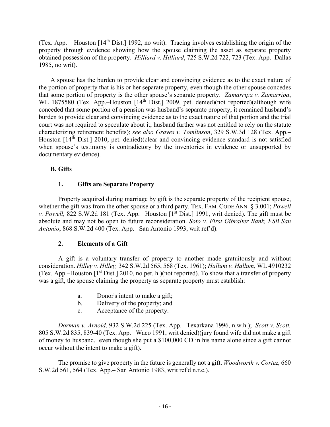(Tex. App. – Houston [14th Dist.] 1992, no writ). Tracing involves establishing the origin of the property through evidence showing how the spouse claiming the asset as separate property obtained possession of the property. *Hilliard v. Hilliard*, 725 S.W.2d 722, 723 (Tex. App.–Dallas 1985, no writ).

A spouse has the burden to provide clear and convincing evidence as to the exact nature of the portion of property that is his or her separate property, even though the other spouse concedes that some portion of property is the other spouse's separate property. *Zamarripa v. Zamarripa*, WL 1875580 (Tex. App.–Houston [14<sup>th</sup> Dist.] 2009, pet. denied)(not reported)(although wife conceded that some portion of a pension was husband's separate property, it remained husband's burden to provide clear and convincing evidence as to the exact nature of that portion and the trial court was not required to speculate about it; husband further was not entitled to rely on the statute characterizing retirement benefits); *see also Graves v. Tomlinson*, 329 S.W.3d 128 (Tex. App.– Houston [14<sup>th</sup> Dist.] 2010, pet. denied)(clear and convincing evidence standard is not satisfied when spouse's testimony is contradictory by the inventories in evidence or unsupported by documentary evidence).

## **B. Gifts**

# **1. Gifts are Separate Property**

Property acquired during marriage by gift is the separate property of the recipient spouse, whether the gift was from the other spouse or a third party. TEX. FAM. CODE ANN. § 3.001; *Powell v. Powell, 822 S.W.2d 181 (Tex. App.*– Houston [1<sup>st</sup> Dist.] 1991, writ denied). The gift must be absolute and may not be open to future reconsideration. *Soto v. First Gibralter Bank, FSB San Antonio*, 868 S.W.2d 400 (Tex. App.– San Antonio 1993, writ ref'd).

## **2. Elements of a Gift**

A gift is a voluntary transfer of property to another made gratuitously and without consideration. *Hilley v. Hilley,* 342 S.W.2d 565, 568 (Tex. 1961); *Hallum v. Hallum,* WL 4910232 (Tex. App.–Houston  $[1<sup>st</sup> Dist.]$  2010, no pet. h.)(not reported). To show that a transfer of property was a gift, the spouse claiming the property as separate property must establish:

- a. Donor's intent to make a gift;
- b. Delivery of the property; and
- c. Acceptance of the property.

*Dorman v. Arnold,* 932 S.W.2d 225 (Tex. App.– Texarkana 1996, n.w.h.); *Scott v. Scott,*  805 S.W.2d 835, 839-40 (Tex. App.– Waco 1991, writ denied)(jury found wife did not make a gift of money to husband, even though she put a \$100,000 CD in his name alone since a gift cannot occur without the intent to make a gift).

The promise to give property in the future is generally not a gift. *Woodworth v. Cortez,* 660 S.W.2d 561, 564 (Tex. App.– San Antonio 1983, writ ref'd n.r.e.).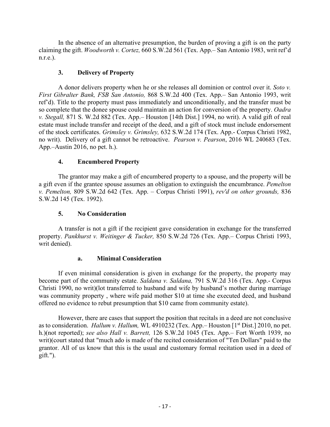In the absence of an alternative presumption, the burden of proving a gift is on the party claiming the gift. *Woodworth v. Cortez,* 660 S.W.2d 561 (Tex. App.– San Antonio 1983, writ ref'd n.r.e.).

## **3. Delivery of Property**

A donor delivers property when he or she releases all dominion or control over it. *Soto v. First Gibralter Bank, FSB San Antonio,* 868 S.W.2d 400 (Tex. App.– San Antonio 1993, writ ref'd). Title to the property must pass immediately and unconditionally, and the transfer must be so complete that the donee spouse could maintain an action for conversion of the property. *Oadra v. Stegall,* 871 S. W.2d 882 (Tex. App.– Houston [14th Dist.] 1994, no writ). A valid gift of real estate must include transfer and receipt of the deed, and a gift of stock must include endorsement of the stock certificates. *Grimsley v. Grimsley,* 632 S.W.2d 174 (Tex. App.- Corpus Christi 1982, no writ). Delivery of a gift cannot be retroactive. *Pearson v. Pearson*, 2016 WL 240683 (Tex. App.–Austin 2016, no pet. h.).

# **4. Encumbered Property**

The grantor may make a gift of encumbered property to a spouse, and the property will be a gift even if the grantee spouse assumes an obligation to extinguish the encumbrance. *Pemelton v. Pemelton,* 809 S.W.2d 642 (Tex. App. – Corpus Christi 1991), *rev'd on other grounds,* 836 S.W.2d 145 (Tex. 1992).

## **5. No Consideration**

A transfer is not a gift if the recipient gave consideration in exchange for the transferred property. *Pankhurst v. Weitinger & Tucker,* 850 S.W.2d 726 (Tex. App.– Corpus Christi 1993, writ denied).

## **a. Minimal Consideration**

If even minimal consideration is given in exchange for the property, the property may become part of the community estate. *Saldana v. Saldana,* 791 S.W.2d 316 (Tex. App.- Corpus Christi 1990, no writ)(lot transferred to husband and wife by husband's mother during marriage was community property , where wife paid mother \$10 at time she executed deed, and husband offered no evidence to rebut presumption that \$10 came from community estate).

However, there are cases that support the position that recitals in a deed are not conclusive as to consideration. *Hallum v. Hallum*, WL 4910232 (Tex. App.– Houston [1<sup>st</sup> Dist.] 2010, no pet. h.)(not reported); *see also Hall v. Barrett,* 126 S.W.2d 1045 (Tex. App.– Fort Worth 1939, no writ)(court stated that "much ado is made of the recited consideration of "Ten Dollars" paid to the grantor. All of us know that this is the usual and customary formal recitation used in a deed of  $g$ ift.").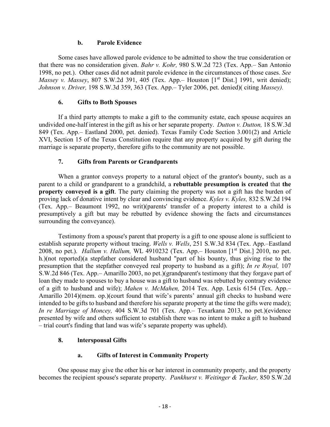#### **b. Parole Evidence**

Some cases have allowed parole evidence to be admitted to show the true consideration or that there was no consideration given. *Bahr v. Kohr,* 980 S.W.2d 723 (Tex. App.– San Antonio 1998, no pet.). Other cases did not admit parole evidence in the circumstances of those cases. *See Massey v. Massey*, 807 S.W.2d 391, 405 (Tex. App.– Houston [1<sup>st</sup> Dist.] 1991, writ denied); *Johnson v. Driver,* 198 S.W.3d 359, 363 (Tex. App.– Tyler 2006, pet. denied)( citing *Massey).*

## **6. Gifts to Both Spouses**

If a third party attempts to make a gift to the community estate, each spouse acquires an undivided one-half interest in the gift as his or her separate property. *Dutton v. Dutton,* 18 S.W.3d 849 (Tex. App.– Eastland 2000, pet. denied). Texas Family Code Section 3.001(2) and Article XVI, Section 15 of the Texas Constitution require that any property acquired by gift during the marriage is separate property, therefore gifts to the community are not possible.

# **7. Gifts from Parents or Grandparents**

When a grantor conveys property to a natural object of the grantor's bounty, such as a parent to a child or grandparent to a grandchild, a **rebuttable presumption is created** that **the property conveyed is a gift**. The party claiming the property was not a gift has the burden of proving lack of donative intent by clear and convincing evidence. *Kyles v. Kyles,* 832 S.W.2d 194 (Tex. App.– Beaumont 1992, no writ)(parents' transfer of a property interest to a child is presumptively a gift but may be rebutted by evidence showing the facts and circumstances surrounding the conveyance).

Testimony from a spouse's parent that property is a gift to one spouse alone is sufficient to establish separate property without tracing. *Wells v. Wells*, 251 S.W.3d 834 (Tex. App.–Eastland 2008, no pet.). *Hallum v. Hallum,* WL 4910232 (Tex. App.– Houston [1st Dist.] 2010, no pet. h.)(not reported)(a stepfather considered husband "part of his bounty, thus giving rise to the presumption that the stepfather conveyed real property to husband as a gift); *In re Royal,* 107 S.W.2d 846 (Tex. App.– Amarillo 2003, no pet.)(grandparent's testimony that they forgave part of loan they made to spouses to buy a house was a gift to husband was rebutted by contrary evidence of a gift to husband and wife); *Mahen v. McMahen,* 2014 Tex. App. Lexis 6154 (Tex. App.– Amarillo 2014)(mem. op.)(court found that wife's parents' annual gift checks to husband were intended to be gifts to husband and therefore his separate property at the time the gifts were made); *In re Marriage of Moncey,* 404 S.W.3d 701 (Tex. App.– Texarkana 2013, no pet.)(evidence presented by wife and others sufficient to establish there was no intent to make a gift to husband – trial court's finding that land was wife's separate property was upheld).

## **8. lnterspousal Gifts**

## **a. Gifts of Interest in Community Property**

One spouse may give the other his or her interest in community property, and the property becomes the recipient spouse's separate property. *Pankhurst v. Weitinger & Tucker,* 850 S.W.2d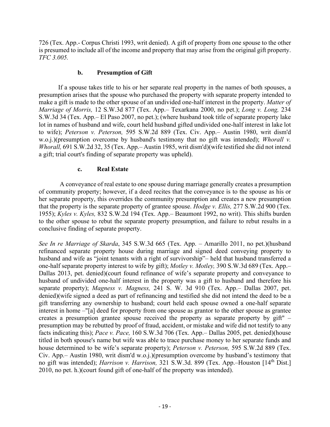726 (Tex. App.- Corpus Christi 1993, writ denied). A gift of property from one spouse to the other is presumed to include all of the income and property that may arise from the original gift property. *TFC 3.005.*

### **b. Presumption of Gift**

If a spouse takes title to his or her separate real property in the names of both spouses, a presumption arises that the spouse who purchased the property with separate property intended to make a gift is made to the other spouse of an undivided one-half interest in the property. *Matter of Marriage of Morris,* 12 S.W.3d 877 (Tex. App.– Texarkana 2000, no pet.); *Long v. Long,* 234 S.W.3d 34 (Tex. App.– El Paso 2007, no pet.); (where husband took title of separate property lake lot in names of husband and wife, court held husband gifted undivided one-half interest in lake lot to wife); *Peterson v. Peterson,* 595 S.W.2d 889 (Tex. Civ. App.– Austin 1980, writ dism'd w.o.j.)(presumption overcome by husband's testimony that no gift was intended); *Whorall v. Whorall,* 691 S.W.2d 32, 35 (Tex. App.– Austin 1985, writ dism'd)(wife testified she did not intend a gift; trial court's finding of separate property was upheld).

## **c. Real Estate**

A conveyance of real estate to one spouse during marriage generally creates a presumption of community property; however, if a deed recites that the conveyance is to the spouse as his or her separate property, this overrides the community presumption and creates a new presumption that the property is the separate property of grantee spouse. *Hodge v. Ellis,* 277 S.W.2d 900 (Tex. 1955); *Kyles v. Kyles,* 832 S.W.2d 194 (Tex. App.– Beaumont 1992, no writ). This shifts burden to the other spouse to rebut the separate property presumption, and failure to rebut results in a conclusive finding of separate property.

*See In re Marriage of Skarda*, 345 S.W.3d 665 (Tex. App. – Amarillo 2011, no pet.)(husband refinanced separate property house during marriage and signed deed conveying property to husband and wife as "joint tenants with a right of survivorship"– held that husband transferred a one-half separate property interest to wife by gift); *Motley v. Motley,* 390 S.W.3d 689 (Tex. App.– Dallas 2013, pet. denied)(court found refinance of wife's separate property and conveyance to husband of undivided one-half interest in the property was a gift to husband and therefore his separate property); *Magness v. Magness,* 241 S. W. 3d 910 (Tex. App.– Dallas 2007, pet. denied)(wife signed a deed as part of refinancing and testified she did not intend the deed to be a gift transferring any ownership to husband; court held each spouse owned a one-half separate interest in home –"[a] deed for property from one spouse as grantor to the other spouse as grantee creates a presumption grantee spouse received the property as separate property by gift" – presumption may be rebutted by proof of fraud, accident, or mistake and wife did not testify to any facts indicating this); *Pace v. Pace,* 160 S.W.3d 706 (Tex. App.– Dallas 2005, pet. denied)(house titled in both spouse's name but wife was able to trace purchase money to her separate funds and house determined to be wife's separate property); *Peterson v. Peterson,* 595 S.W.2d 889 (Tex. Civ. App.– Austin 1980, writ dism'd w.o.j.)(presumption overcome by husband's testimony that no gift was intended); *Harrison v. Harrison,* 321 S.W.3d. 899 (Tex. App.–Houston [14th Dist.] 2010, no pet. h.)(court found gift of one-half of the property was intended).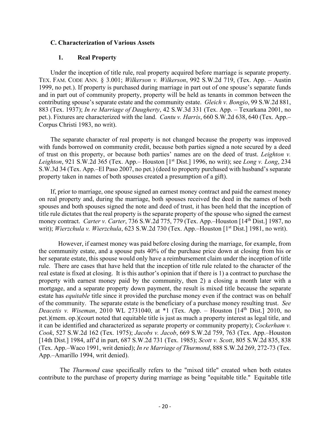#### **C. Characterization of Various Assets**

#### **1. Real Property**

Under the inception of title rule, real property acquired before marriage is separate property. TEX. FAM. CODE ANN. § 3.001; *Wilkerson v. Wilkerson*, 992 S.W.2d 719, (Tex. App. – Austin 1999, no pet.). If property is purchased during marriage in part out of one spouse's separate funds and in part out of community property, property will be held as tenants in common between the contributing spouse's separate estate and the community estate. *Gleich v. Bongio*, 99 S.W.2d 881, 883 (Tex. 1937); *In re Marriage of Daugherty*, 42 S.W.3d 331 (Tex. App. – Texarkana 2001, no pet.). Fixtures are characterized with the land. *Cantu v. Harris*, 660 S.W.2d 638, 640 (Tex. App.– Corpus Christi 1983, no writ).

The separate character of real property is not changed because the property was improved with funds borrowed on community credit, because both parties signed a note secured by a deed of trust on this property, or because both parties' names are on the deed of trust. *Leighton v. Leighton*, 921 S.W.2d 365 (Tex. App.– Houston [1<sup>st</sup> Dist.] 1996, no writ); see *Long v. Long*, 234 S.W.3d 34 (Tex. App.–El Paso 2007, no pet.) (deed to property purchased with husband's separate property taken in names of both spouses created a presumption of a gift).

If, prior to marriage, one spouse signed an earnest money contract and paid the earnest money on real property and, during the marriage, both spouses received the deed in the names of both spouses and both spouses signed the note and deed of trust, it has been held that the inception of title rule dictates that the real property is the separate property of the spouse who signed the earnest money contract. *Carter v. Carter*, 736 S.W.2d 775, 779 (Tex. App.–Houston [14th Dist.] 1987, no writ); *Wierzchula v. Wierzchula*, 623 S.W.2d 730 (Tex. App.–Houston [1<sup>st</sup> Dist.] 1981, no writ).

However, if earnest money was paid before closing during the marriage, for example, from the community estate, and a spouse puts 40% of the purchase price down at closing from his or her separate estate, this spouse would only have a reimbursement claim under the inception of title rule. There are cases that have held that the inception of title rule related to the character of the real estate is fixed at closing. It is this author's opinion that if there is 1) a contract to purchase the property with earnest money paid by the community, then 2) a closing a month later with a mortgage, and a separate property down payment, the result is mixed title because the separate estate has *equitable* title since it provided the purchase money even if the contract was on behalf of the community. The separate estate is the beneficiary of a purchase money resulting trust. *See Deacetis v. Wiseman*, 2010 WL 2731040, at \*1 (Tex. App. – Houston [14<sup>th</sup> Dist.] 2010, no pet.)(mem. op.)(court noted that equitable title is just as much a property interest as legal title, and it can be identified and characterized as separate property or community property); *Cockerham v. Cook*, 527 S.W.2d 162 (Tex. 1975); *Jacobs v. Jacob*, 669 S.W.2d 759, 763 (Tex. App.–Houston [14th Dist.] 1984, aff'd in part, 687 S.W.2d 731 (Tex. 1985); *Scott v. Scott*, 805 S.W.2d 835, 838 (Tex. App.–Waco 1991, writ denied); *In re Marriage of Thurmond*, 888 S.W.2d 269, 272-73 (Tex. App.–Amarillo 1994, writ denied).

The *Thurmond* case specifically refers to the "mixed title" created when both estates contribute to the purchase of property during marriage as being "equitable title." Equitable title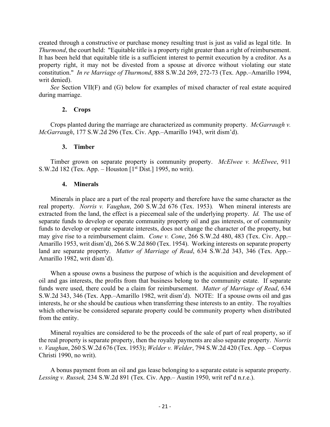created through a constructive or purchase money resulting trust is just as valid as legal title. In *Thurmond*, the court held: "Equitable title is a property right greater than a right of reimbursement. It has been held that equitable title is a sufficient interest to permit execution by a creditor. As a property right, it may not be divested from a spouse at divorce without violating our state constitution." *In re Marriage of Thurmond*, 888 S.W.2d 269, 272-73 (Tex. App.–Amarillo 1994, writ denied).

*See* Section VII(F) and (G) below for examples of mixed character of real estate acquired during marriage.

## **2. Crops**

Crops planted during the marriage are characterized as community property. *McGarraugh v. McGarraugh*, 177 S.W.2d 296 (Tex. Civ. App.–Amarillo 1943, writ dism'd).

### **3. Timber**

Timber grown on separate property is community property. *McElwee v. McElwee*, 911 S.W.2d 182 (Tex. App. – Houston  $[1<sup>st</sup> Dist.]$  1995, no writ).

### **4. Minerals**

Minerals in place are a part of the real property and therefore have the same character as the real property. *Norris v. Vaughan*, 260 S.W.2d 676 (Tex. 1953)*.* When mineral interests are extracted from the land, the effect is a piecemeal sale of the underlying property. *Id.* The use of separate funds to develop or operate community property oil and gas interests, or of community funds to develop or operate separate interests, does not change the character of the property, but may give rise to a reimbursement claim. *Cone v. Cone*, 266 S.W.2d 480, 483 (Tex. Civ. App.– Amarillo 1953, writ dism'd), 266 S.W.2d 860 (Tex. 1954). Working interests on separate property land are separate property. *Matter of Marriage of Read*, 634 S.W.2d 343, 346 (Tex. App.– Amarillo 1982, writ dism'd).

When a spouse owns a business the purpose of which is the acquisition and development of oil and gas interests, the profits from that business belong to the community estate. If separate funds were used, there could be a claim for reimbursement. *Matter of Marriage of Read*, 634 S.W.2d 343, 346 (Tex. App.–Amarillo 1982, writ dism'd). NOTE: If a spouse owns oil and gas interests, he or she should be cautious when transferring these interests to an entity. The royalties which otherwise be considered separate property could be community property when distributed from the entity.

Mineral royalties are considered to be the proceeds of the sale of part of real property, so if the real property is separate property, then the royalty payments are also separate property. *Norris v. Vaughan*, 260 S.W.2d 676 (Tex. 1953); *Welder v. Welder*, 794 S.W.2d 420 (Tex. App. – Corpus Christi 1990, no writ).

A bonus payment from an oil and gas lease belonging to a separate estate is separate property. *Lessing v. Russek,* 234 S.W.2d 891 (Tex. Civ. App.– Austin 1950, writ ref'd n.r.e.).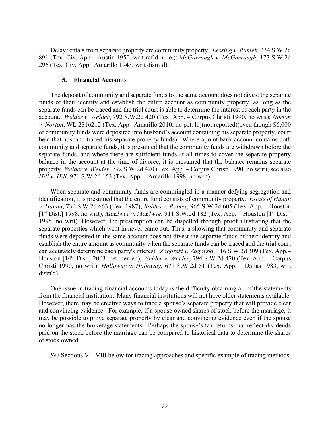Delay rentals from separate property are community property. *Lessing v. Russek,* 234 S.W.2d 891 (Tex. Civ. App.– Austin 1950, writ ref'd n.r.e.); *McGarraugh v. McGarraugh*, 177 S.W.2d 296 (Tex. Civ. App.–Amarillo 1943, writ dism'd).

#### **5. Financial Accounts**

The deposit of community and separate funds to the same account does not divest the separate funds of their identity and establish the entire account as community property, as long as the separate funds can be traced and the trial court is able to determine the interest of each party in the account. *Welder v. Welder*, 792 S.W.2d 420 (Tex. App. – Corpus Christi 1990, no writ); *Norton v. Norton*, WL 2816212 (Tex. App.–Amarillo 2010, no pet. h.)(not reported)(even though \$6,000 of community funds were deposited into husband's account containing his separate property, court held that husband traced his separate property funds). Where a joint bank account contains both community and separate funds, it is presumed that the community funds are withdrawn before the separate funds, and where there are sufficient funds at all times to cover the separate property balance in the account at the time of divorce, it is presumed that the balance remains separate property. *Welder v. Welder*, 792 S.W.2d 420 (Tex. App. – Corpus Christi 1990, no writ); see also *Hill v. Hill*, 971 S.W.2d 153 (Tex. App. – Amarillo 1998, no writ).

When separate and community funds are commingled in a manner defying segregation and identification, it is presumed that the entire fund consists of community property. *Estate of Hanau v. Hanau*, 730 S.W.2d 663 (Tex. 1987); *Robles v. Robles*, 965 S.W.2d 605 (Tex. App. – Houston [1st Dist.] 1998, no writ); *McElwee v. McElwee*, 911 S.W.2d 182 (Tex. App. – Houston [1st Dist.] 1995, no writ). However, the presumption can be dispelled through proof illustrating that the separate properties which went in never came out. Thus, a showing that community and separate funds were deposited in the same account does not divest the separate funds of their identity and establish the entire amount as community when the separate funds can be traced and the trial court can accurately determine each party's interest. *Zagorski v. Zagorski*, 116 S.W.3d 309 (Tex. App.– Houston [14th Dist.] 2003, pet. denied); *Welder v. Welder*, 794 S.W.2d 420 (Tex. App. – Corpus Christi 1990, no writ); *Holloway v. Holloway*, 671 S.W.2d 51 (Tex. App. – Dallas 1983, writ dism'd).

One issue in tracing financial accounts today is the difficulty obtaining all of the statements from the financial institution. Many financial institutions will not have older statements available. However, there may be creative ways to trace a spouse's separate property that will provide clear and convincing evidence. For example, if a spouse owned shares of stock before the marriage, it may be possible to prove separate property by clear and convincing evidence even if the spouse no longer has the brokerage statements. Perhaps the spouse's tax returns that reflect dividends paid on the stock before the marriage can be compared to historical data to determine the shares of stock owned.

*See* Sections V – VIII below for tracing approaches and specific example of tracing methods.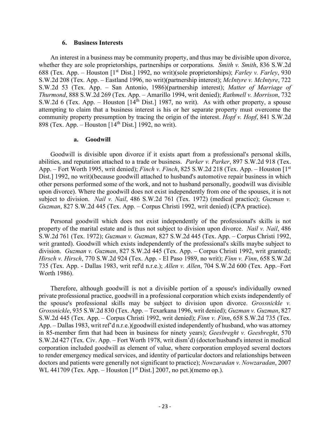#### **6. Business Interests**

An interest in a business may be community property, and thus may be divisible upon divorce, whether they are sole proprietorships, partnerships or corporations. *Smith v. Smith*, 836 S.W.2d 688 (Tex. App. – Houston [1st Dist.] 1992, no writ)(sole proprietorships); *Farley v. Farley*, 930 S.W.2d 208 (Tex. App. – Eastland 1996, no writ)(partnership interest); *McIntyre v. McIntyre*, 722 S.W.2d 53 (Tex. App. – San Antonio, 1986)(partnership interest); *Matter of Marriage of Thurmond*, 888 S.W.2d 269 (Tex. App. – Amarillo 1994, writ denied); *Rathmell v. Morrison*, 732 S.W.2d 6 (Tex. App. – Houston  $[14<sup>th</sup> Dist.]$  1987, no writ). As with other property, a spouse attempting to claim that a business interest is his or her separate property must overcome the community property presumption by tracing the origin of the interest. *Hopf v. Hopf*, 841 S.W.2d 898 (Tex. App. – Houston  $[14<sup>th</sup> Dist.]$  1992, no writ).

#### **a. Goodwill**

Goodwill is divisible upon divorce if it exists apart from a professional's personal skills, abilities, and reputation attached to a trade or business. *Parker v. Parker*, 897 S.W.2d 918 (Tex. App. – Fort Worth 1995, writ denied); *Finch v. Finch*, 825 S.W.2d 218 (Tex. App. – Houston [1<sup>st</sup>] Dist.] 1992, no writ)(because goodwill attached to husband's automotive repair business in which other persons performed some of the work, and not to husband personally, goodwill was divisible upon divorce). Where the goodwill does not exist independently from one of the spouses, it is not subject to division. *Nail v. Nail*, 486 S.W.2d 761 (Tex. 1972) (medical practice); *Guzman v. Guzman*, 827 S.W.2d 445 (Tex. App. – Corpus Christi 1992, writ denied) (CPA practice).

Personal goodwill which does not exist independently of the professional's skills is not property of the marital estate and is thus not subject to division upon divorce. *Nail v. Nail*, 486 S.W.2d 761 (Tex. 1972); *Guzman v. Guzman*, 827 S.W.2d 445 (Tex. App. – Corpus Christi 1992, writ granted). Goodwill which exists independently of the professional's skills maybe subject to division. *Guzman v. Guzman*, 827 S.W.2d 445 (Tex. App. – Corpus Christi 1992, writ granted); *Hirsch v. Hirsch*, 770 S.W.2d 924 (Tex. App. - El Paso 1989, no writ); *Finn v. Finn*, 658 S.W.2d 735 (Tex. App. - Dallas 1983, writ ref'd n.r.e.); *Allen v. Allen*, 704 S.W.2d 600 (Tex. App.–Fort Worth 1986).

Therefore, although goodwill is not a divisible portion of a spouse's individually owned private professional practice, goodwill in a professional corporation which exists independently of the spouse's professional skills may be subject to division upon divorce. *Grossnickle v. Grossnickle*, 935 S.W.2d 830 (Tex. App. – Texarkana 1996, writ denied); *Guzman v. Guzman*, 827 S.W.2d 445 (Tex. App. – Corpus Christi 1992, writ denied); *Finn v. Finn*, 658 S.W.2d 735 (Tex. App. – Dallas 1983, writ ref'd n.r.e.)(goodwill existed independently of husband, who was attorney in 85-member firm that had been in business for ninety years); *Geesbreght v. Geesbreght*, 570 S.W.2d 427 (Tex. Civ. App. – Fort Worth 1978, writ dism'd) (doctor/husband's interest in medical corporation included goodwill as element of value, where corporation employed several doctors to render emergency medical services, and identity of particular doctors and relationships between doctors and patients were generally not significant to practice); *Nowzaradan v. Nowzaradan*, 2007 WL 441709 (Tex. App. – Houston  $[1<sup>st</sup> Dist.]$  2007, no pet.)(memo op.).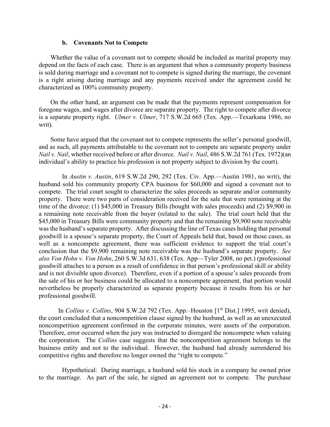#### **b. Covenants Not to Compete**

Whether the value of a covenant not to compete should be included as marital property may depend on the facts of each case. There is an argument that when a community property business is sold during marriage and a covenant not to compete is signed during the marriage, the covenant is a right arising during marriage and any payments received under the agreement could be characterized as 100% community property.

On the other hand, an argument can be made that the payments represent compensation for foregone wages, and wages after divorce are separate property. The right to compete after divorce is a separate property right. *Ulmer v. Ulmer*, 717 S.W.2d 665 (Tex. App.—Texarkana 1986, no writ).

Some have argued that the covenant not to compete represents the seller's personal goodwill, and as such, all payments attributable to the covenant not to compete are separate property under *Nail v. Nail*, whether received before or after divorce. *Nail v. Nail*, 486 S.W.2d 761 (Tex. 1972)(an individual's ability to practice his profession is not property subject to division by the court).

In *Austin v. Austin*, 619 S.W.2d 290, 292 (Tex. Civ. App.—Austin 1981, no writ), the husband sold his community property CPA business for \$60,000 and signed a covenant not to compete. The trial court sought to characterize the sales proceeds as separate and/or community property. There were two parts of consideration received for the sale that were remaining at the time of the divorce: (1) \$45,000 in Treasury Bills (bought with sales proceeds) and (2) \$9,900 in a remaining note receivable from the buyer (related to the sale). The trial court held that the \$45,000 in Treasury Bills were community property and that the remaining \$9,900 note receivable was the husband's separate property. After discussing the line of Texas cases holding that personal goodwill is a spouse's separate property, the Court of Appeals held that, based on those cases, as well as a noncompete agreement, there was sufficient evidence to support the trial court's conclusion that the \$9,900 remaining note receivable was the husband's separate property. *See also Von Hohn v. Von Hohn*, 260 S.W.3d 631, 638 (Tex. App—Tyler 2008, no pet.) (professional goodwill attaches to a person as a result of confidence in that person's professional skill or ability and is not divisible upon divorce). Therefore, even if a portion of a spouse's sales proceeds from the sale of his or her business could be allocated to a noncompete agreement, that portion would nevertheless be properly characterized as separate property because it results from his or her professional goodwill.

In *Collins v. Collins*, 904 S.W.2d 792 (Tex. App.–Houston [1<sup>st</sup> Dist.] 1995, writ denied), the court concluded that a noncompetition clause signed by the husband, as well as an unexecuted noncompetition agreement confirmed in the corporate minutes, were assets of the corporation. Therefore, error occurred when the jury was instructed to disregard the noncompete when valuing the corporation. The *Collins* case suggests that the noncompetition agreement belongs to the business entity and not to the individual. However, the husband had already surrendered his competitive rights and therefore no longer owned the "right to compete."

Hypothetical: During marriage, a husband sold his stock in a company he owned prior to the marriage. As part of the sale, he signed an agreement not to compete. The purchase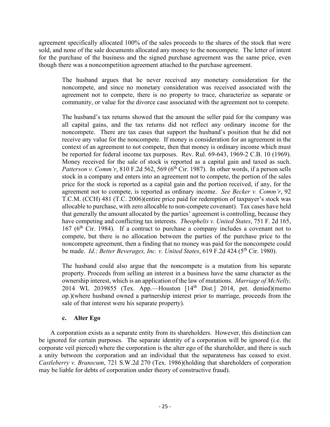agreement specifically allocated 100% of the sales proceeds to the shares of the stock that were sold, and none of the sale documents allocated any money to the noncompete. The letter of intent for the purchase of the business and the signed purchase agreement was the same price, even though there was a noncompetition agreement attached to the purchase agreement.

The husband argues that he never received any monetary consideration for the noncompete, and since no monetary consideration was received associated with the agreement not to compete, there is no property to trace, characterize as separate or community, or value for the divorce case associated with the agreement not to compete.

The husband's tax returns showed that the amount the seller paid for the company was all capital gains, and the tax returns did not reflect any ordinary income for the noncompete. There are tax cases that support the husband's position that he did not receive any value for the noncompete. If money is consideration for an agreement in the context of an agreement to not compete, then that money is ordinary income which must be reported for federal income tax purposes. Rev. Rul. 69-643, 1969-2 C.B. 10 (1969). Money received for the sale of stock is reported as a capital gain and taxed as such. *Patterson v. Comm'r*, 810 F.2d 562, 569 ( $6<sup>th</sup> Cir.$  1987). In other words, if a person sells stock in a company and enters into an agreement not to compete, the portion of the sales price for the stock is reported as a capital gain and the portion received, if any, for the agreement not to compete, is reported as ordinary income. *See Becker v. Comm'r*, 92 T.C.M. (CCH) 481 (T.C. 2006)(entire price paid for redemption of taxpayer's stock was allocable to purchase, with zero allocable to non-compete covenant). Tax cases have held that generally the amount allocated by the parties' agreement is controlling, because they have competing and conflicting tax interests. *Theophelis v. United States*, 751 F. 2d 165,  $167$  ( $6<sup>th</sup>$  Cir. 1984). If a contract to purchase a company includes a covenant not to compete, but there is no allocation between the parties of the purchase price to the noncompete agreement, then a finding that no money was paid for the noncompete could be made. *Id.; Better Beverages, Inc. v. United States*, 619 F.2d 424 (5<sup>th</sup> Cir. 1980).

The husband could also argue that the noncompete is a mutation from his separate property. Proceeds from selling an interest in a business have the same character as the ownership interest, which is an application of the law of mutations. *Marriage of McNelly,*  2014 WL 2039855 (Tex. App.—Houston  $[14<sup>th</sup> Dist.]$  2014, pet. denied)(memo op.)(where husband owned a partnership interest prior to marriage, proceeds from the sale of that interest were his separate property).

## **c. Alter Ego**

A corporation exists as a separate entity from its shareholders. However, this distinction can be ignored for certain purposes. The separate identity of a corporation will be ignored (i.e. the corporate veil pierced) where the corporation is the alter ego of the shareholder, and there is such a unity between the corporation and an individual that the separateness has ceased to exist. *Castleberry v. Branscum*, 721 S.W.2d 270 (Tex. 1986)(holding that shareholders of corporation may be liable for debts of corporation under theory of constructive fraud).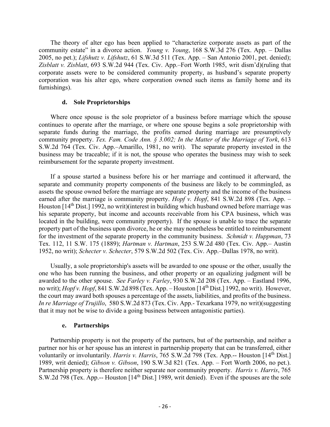The theory of alter ego has been applied to "characterize corporate assets as part of the community estate" in a divorce action. *Young v. Young*, 168 S.W.3d 276 (Tex. App. – Dallas 2005, no pet.); *Lifshutz v. Lifshutz*, 61 S.W.3d 511 (Tex. App. – San Antonio 2001, pet. denied); *Zisblatt v. Zisblatt*, 693 S.W.2d 944 (Tex. Civ. App.–Fort Worth 1985, writ dism'd)(ruling that corporate assets were to be considered community property, as husband's separate property corporation was his alter ego, where corporation owned such items as family home and its furnishings).

#### **d. Sole Proprietorships**

Where once spouse is the sole proprietor of a business before marriage which the spouse continues to operate after the marriage, or where one spouse begins a sole proprietorship with separate funds during the marriage, the profits earned during marriage are presumptively community property. *Tex. Fam. Code Ann. § 3.002; In the Matter of the Marriage of York*, 613 S.W.2d 764 (Tex. Civ. App.–Amarillo, 1981, no writ).The separate property invested in the business may be traceable; if it is not, the spouse who operates the business may wish to seek reimbursement for the separate property investment.

If a spouse started a business before his or her marriage and continued it afterward, the separate and community property components of the business are likely to be commingled, as assets the spouse owned before the marriage are separate property and the income of the business earned after the marriage is community property. *Hopf v. Hopf*, 841 S.W.2d 898 (Tex. App. – Houston [14<sup>th</sup> Dist.] 1992, no writ)(interest in building which husband owned before marriage was his separate property, but income and accounts receivable from his CPA business, which was located in the building, were community property). If the spouse is unable to trace the separate property part of the business upon divorce, he or she may nonetheless be entitled to reimbursement for the investment of the separate property in the community business. *Schmidt v. Huppman*, 73 Tex. 112, 11 S.W. 175 (1889); *Hartman v. Hartman*, 253 S.W.2d 480 (Tex. Civ. App.– Austin 1952, no writ); *Schecter v. Schecter*, 579 S.W.2d 502 (Tex. Civ. App.–Dallas 1978, no writ).

Usually, a sole proprietorship's assets will be awarded to one spouse or the other, usually the one who has been running the business, and other property or an equalizing judgment will be awarded to the other spouse. *See Farley v. Farley*, 930 S.W.2d 208 (Tex. App. – Eastland 1996, no writ); *Hopf v. Hopf*, 841 S.W.2d 898 (Tex. App. – Houston [14th Dist.] 1992, no writ). However, the court may award both spouses a percentage of the assets, liabilities, and profits of the business. *In re Marriage of Trujillo*, 580 S.W.2d 873 (Tex. Civ. App.- Texarkana 1979, no writ)(suggesting that it may not be wise to divide a going business between antagonistic parties).

#### **e. Partnerships**

Partnership property is not the property of the partners, but of the partnership, and neither a partner nor his or her spouse has an interest in partnership property that can be transferred, either voluntarily or involuntarily. *Harris v. Harris*, 765 S.W.2d 798 (Tex. App.-- Houston [14<sup>th</sup> Dist.] 1989, writ denied); *Gibson v. Gibson*, 190 S.W.3d 821 (Tex. App. – Fort Worth 2006, no pet.). Partnership property is therefore neither separate nor community property. *Harris v. Harris*, 765 S.W.2d 798 (Tex. App.-- Houston [14th Dist.] 1989, writ denied). Even if the spouses are the sole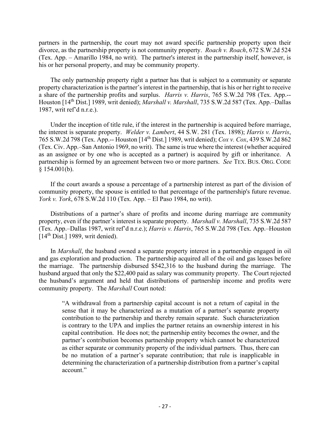partners in the partnership, the court may not award specific partnership property upon their divorce, as the partnership property is not community property. *Roach v. Roach*, 672 S.W.2d 524 (Tex. App. – Amarillo 1984, no writ). The partner's interest in the partnership itself, however, is his or her personal property, and may be community property.

The only partnership property right a partner has that is subject to a community or separate property characterization is the partner's interest in the partnership, that is his or her right to receive a share of the partnership profits and surplus. *Harris v. Harris*, 765 S.W.2d 798 (Tex. App.-- Houston [14th Dist.] 1989, writ denied); *Marshall v. Marshall*, 735 S.W.2d 587 (Tex. App.–Dallas 1987, writ ref'd n.r.e.).

Under the inception of title rule, if the interest in the partnership is acquired before marriage, the interest is separate property. *Welder v. Lambert*, 44 S.W. 281 (Tex. 1898); *Harris v. Harris*, 765 S.W.2d 798 (Tex. App.-- Houston [14th Dist.] 1989, writ denied); *Cox v. Cox*, 439 S.W.2d 862 (Tex. Civ. App.–San Antonio 1969, no writ). The same is true where the interest (whether acquired as an assignee or by one who is accepted as a partner) is acquired by gift or inheritance. A partnership is formed by an agreement between two or more partners. *See* TEX. BUS. ORG. CODE  $§$  154.001(b).

If the court awards a spouse a percentage of a partnership interest as part of the division of community property, the spouse is entitled to that percentage of the partnership's future revenue. *York v. York*, 678 S.W.2d 110 (Tex. App. – El Paso 1984, no writ).

Distributions of a partner's share of profits and income during marriage are community property, even if the partner's interest is separate property. *Marshall v. Marshall*, 735 S.W.2d 587 (Tex. App.–Dallas 1987, writ ref'd n.r.e.); *Harris v. Harris*, 765 S.W.2d 798 (Tex. App.–Houston  $[14<sup>th</sup> Dist.]$  1989, writ denied).

In *Marshall*, the husband owned a separate property interest in a partnership engaged in oil and gas exploration and production. The partnership acquired all of the oil and gas leases before the marriage. The partnership disbursed \$542,316 to the husband during the marriage. The husband argued that only the \$22,400 paid as salary was community property. The Court rejected the husband's argument and held that distributions of partnership income and profits were community property. The *Marshall* Court noted:

"A withdrawal from a partnership capital account is not a return of capital in the sense that it may be characterized as a mutation of a partner's separate property contribution to the partnership and thereby remain separate. Such characterization is contrary to the UPA and implies the partner retains an ownership interest in his capital contribution. He does not; the partnership entity becomes the owner, and the partner's contribution becomes partnership property which cannot be characterized as either separate or community property of the individual partners. Thus, there can be no mutation of a partner's separate contribution; that rule is inapplicable in determining the characterization of a partnership distribution from a partner's capital account."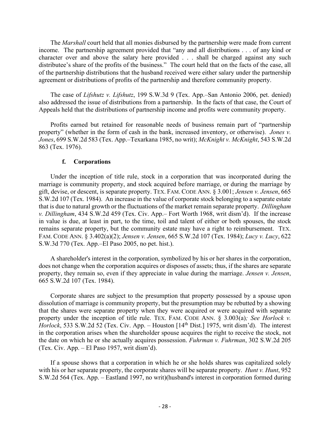The *Marshall* court held that all monies disbursed by the partnership were made from current income. The partnership agreement provided that "any and all distributions . . . of any kind or character over and above the salary here provided . . . shall be charged against any such distributee's share of the profits of the business." The court held that on the facts of the case, all of the partnership distributions that the husband received were either salary under the partnership agreement or distributions of profits of the partnership and therefore community property.

The case of *Lifshutz v. Lifshutz*, 199 S.W.3d 9 (Tex. App.–San Antonio 2006, pet. denied) also addressed the issue of distributions from a partnership. In the facts of that case, the Court of Appeals held that the distributions of partnership income and profits were community property.

Profits earned but retained for reasonable needs of business remain part of "partnership property" (whether in the form of cash in the bank, increased inventory, or otherwise). *Jones v. Jones*, 699 S.W.2d 583 (Tex. App.–Texarkana 1985, no writ); *McKnight v. McKnight*, 543 S.W.2d 863 (Tex. 1976).

#### **f. Corporations**

Under the inception of title rule, stock in a corporation that was incorporated during the marriage is community property, and stock acquired before marriage, or during the marriage by gift, devise, or descent, is separate property. TEX. FAM. CODE ANN. § 3.001; *Jensen v. Jensen*, 665 S.W.2d 107 (Tex. 1984). An increase in the value of corporate stock belonging to a separate estate that is due to natural growth or the fluctuations of the market remain separate property. *Dillingham v. Dillingham*, 434 S.W.2d 459 (Tex. Civ. App.– Fort Worth 1968, writ dism'd). If the increase in value is due, at least in part, to the time, toil and talent of either or both spouses, the stock remains separate property, but the community estate may have a right to reimbursement. TEX. FAM. CODE ANN. § 3.402(a)(2); *Jensen v. Jensen*, 665 S.W.2d 107 (Tex. 1984); *Lucy v. Lucy*, 622 S.W.3d 770 (Tex. App.–El Paso 2005, no pet. hist.).

A shareholder's interest in the corporation, symbolized by his or her shares in the corporation, does not change when the corporation acquires or disposes of assets; thus, if the shares are separate property, they remain so, even if they appreciate in value during the marriage. *Jensen v. Jensen*, 665 S.W.2d 107 (Tex. 1984).

Corporate shares are subject to the presumption that property possessed by a spouse upon dissolution of marriage is community property, but the presumption may be rebutted by a showing that the shares were separate property when they were acquired or were acquired with separate property under the inception of title rule. TEX. FAM. CODE ANN. § 3.003(a)*; See Horlock v. Horlock*, 533 S.W.2d 52 (Tex. Civ. App. – Houston [14<sup>th</sup> Dist.] 1975, writ dism'd). The interest in the corporation arises when the shareholder spouse acquires the right to receive the stock, not the date on which he or she actually acquires possession. *Fuhrman v. Fuhrman*, 302 S.W.2d 205 (Tex. Civ. App. – El Paso 1957, writ dism'd).

If a spouse shows that a corporation in which he or she holds shares was capitalized solely with his or her separate property, the corporate shares will be separate property. *Hunt* v. *Hunt*, 952 S.W.2d 564 (Tex. App. – Eastland 1997, no writ)(husband's interest in corporation formed during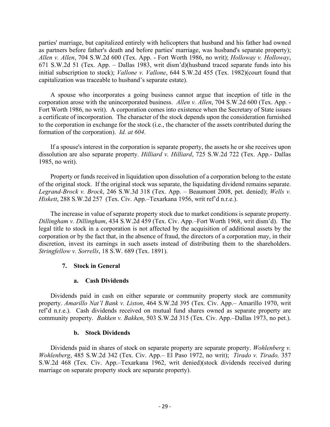parties' marriage, but capitalized entirely with helicopters that husband and his father had owned as partners before father's death and before parties' marriage, was husband's separate property); *Allen v. Allen*, 704 S.W.2d 600 (Tex. App. - Fort Worth 1986, no writ); *Holloway v. Holloway*, 671 S.W.2d 51 (Tex. App. – Dallas 1983, writ dism'd)(husband traced separate funds into his initial subscription to stock); *Vallone v. Vallone*, 644 S.W.2d 455 (Tex. 1982)(court found that capitalization was traceable to husband's separate estate).

A spouse who incorporates a going business cannot argue that inception of title in the corporation arose with the unincorporated business. *Allen v. Allen*, 704 S.W.2d 600 (Tex. App. - Fort Worth 1986, no writ). A corporation comes into existence when the Secretary of State issues a certificate of incorporation. The character of the stock depends upon the consideration furnished to the corporation in exchange for the stock (i.e., the character of the assets contributed during the formation of the corporation). *Id. at 604*.

If a spouse's interest in the corporation is separate property, the assets he or she receives upon dissolution are also separate property. *Hilliard v. Hilliard*, 725 S.W.2d 722 (Tex. App.- Dallas 1985, no writ).

Property or funds received in liquidation upon dissolution of a corporation belong to the estate of the original stock. If the original stock was separate, the liquidating dividend remains separate. *Legrand-Brock v. Brock*, 246 S.W.3d 318 (Tex. App. – Beaumont 2008, pet. denied); *Wells v. Hiskett*, 288 S.W.2d 257 (Tex. Civ. App.–Texarkana 1956, writ ref'd n.r.e.).

The increase in value of separate property stock due to market conditions is separate property. *Dillingham v. Dillingham*, 434 S.W.2d 459 (Tex. Civ. App.–Fort Worth 1968, writ dism'd). The legal title to stock in a corporation is not affected by the acquisition of additional assets by the corporation or by the fact that, in the absence of fraud, the directors of a corporation may, in their discretion, invest its earnings in such assets instead of distributing them to the shareholders. *Stringfellow v. Sorrells*, 18 S.W. 689 (Tex. 1891).

## **7. Stock in General**

## **a. Cash Dividends**

Dividends paid in cash on either separate or community property stock are community property. *Amarillo Nat'l Bank v. Liston*, 464 S.W.2d 395 (Tex. Civ. App.– Amarillo 1970, writ ref'd n.r.e.). Cash dividends received on mutual fund shares owned as separate property are community property. *Bakken v. Bakken*, 503 S.W.2d 315 (Tex. Civ. App.–Dallas 1973, no pet.).

#### **b. Stock Dividends**

Dividends paid in shares of stock on separate property are separate property. *Wohlenberg v. Wohlenberg*, 485 S.W.2d 342 (Tex. Civ. App.– El Paso 1972, no writ); *Tirado v. Tirado,* 357 S.W.2d 468 (Tex. Civ. App.–Texarkana 1962, writ denied)(stock dividends received during marriage on separate property stock are separate property).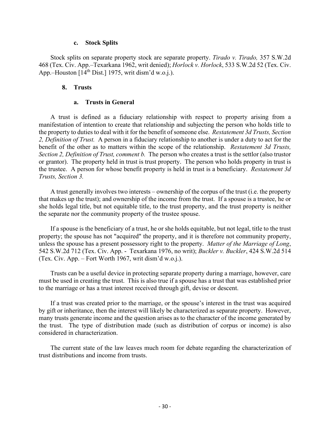#### **c. Stock Splits**

Stock splits on separate property stock are separate property. *Tirado v. Tirado,* 357 S.W.2d 468 (Tex. Civ. App.–Texarkana 1962, writ denied); *Horlock v. Horlock*, 533 S.W.2d 52 (Tex. Civ. App.–Houston  $[14<sup>th</sup> Dist.]$  1975, writ dism'd w.o.j.).

#### **8. Trusts**

#### **a. Trusts in General**

A trust is defined as a fiduciary relationship with respect to property arising from a manifestation of intention to create that relationship and subjecting the person who holds title to the property to duties to deal with it for the benefit of someone else. *Restatement 3d Trusts, Section 2, Definition of Trust.* A person in a fiduciary relationship to another is under a duty to act for the benefit of the other as to matters within the scope of the relationship. *Restatement 3d Trusts, Section 2, Definition of Trust, comment b.*The person who creates a trust is the settlor (also trustor or grantor). The property held in trust is trust property. The person who holds property in trust is the trustee. A person for whose benefit property is held in trust is a beneficiary. *Restatement 3d Trusts, Section 3.*

A trust generally involves two interests – ownership of the corpus of the trust (i.e. the property that makes up the trust); and ownership of the income from the trust. If a spouse is a trustee, he or she holds legal title, but not equitable title, to the trust property, and the trust property is neither the separate nor the community property of the trustee spouse.

If a spouse is the beneficiary of a trust, he or she holds equitable, but not legal, title to the trust property; the spouse has not "acquired" the property, and it is therefore not community property, unless the spouse has a present possessory right to the property. *Matter of the Marriage of Long*, 542 S.W.2d 712 (Tex. Civ. App. - Texarkana 1976, no writ); *Buckler v. Buckler*, 424 S.W.2d 514 (Tex. Civ. App. – Fort Worth 1967, writ dism'd w.o.j.).

Trusts can be a useful device in protecting separate property during a marriage, however, care must be used in creating the trust. This is also true if a spouse has a trust that was established prior to the marriage or has a trust interest received through gift, devise or descent.

If a trust was created prior to the marriage, or the spouse's interest in the trust was acquired by gift or inheritance, then the interest will likely be characterized as separate property. However, many trusts generate income and the question arises as to the character of the income generated by the trust. The type of distribution made (such as distribution of corpus or income) is also considered in characterization.

The current state of the law leaves much room for debate regarding the characterization of trust distributions and income from trusts.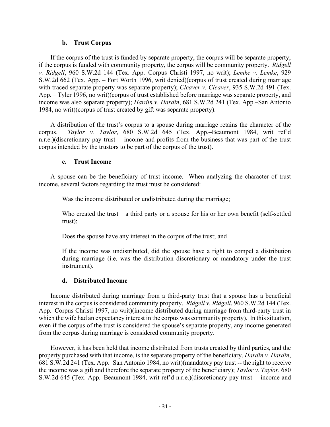#### **b. Trust Corpus**

If the corpus of the trust is funded by separate property, the corpus will be separate property; if the corpus is funded with community property, the corpus will be community property. *Ridgell v. Ridgell*, 960 S.W.2d 144 (Tex. App.–Corpus Christi 1997, no writ); *Lemke v. Lemke*, 929 S.W.2d 662 (Tex. App. – Fort Worth 1996, writ denied)(corpus of trust created during marriage with traced separate property was separate property); *Cleaver v. Cleaver*, 935 S.W.2d 491 (Tex. App. – Tyler 1996, no writ)(corpus of trust established before marriage was separate property, and income was also separate property); *Hardin v. Hardin*, 681 S.W.2d 241 (Tex. App.–San Antonio 1984, no writ)(corpus of trust created by gift was separate property).

A distribution of the trust's corpus to a spouse during marriage retains the character of the corpus. *Taylor v. Taylor*, 680 S.W.2d 645 (Tex. App.–Beaumont 1984, writ ref'd n.r.e.)(discretionary pay trust -- income and profits from the business that was part of the trust corpus intended by the trustors to be part of the corpus of the trust).

#### **c. Trust Income**

A spouse can be the beneficiary of trust income. When analyzing the character of trust income, several factors regarding the trust must be considered:

Was the income distributed or undistributed during the marriage;

Who created the trust – a third party or a spouse for his or her own benefit (self-settled trust);

Does the spouse have any interest in the corpus of the trust; and

If the income was undistributed, did the spouse have a right to compel a distribution during marriage (i.e. was the distribution discretionary or mandatory under the trust instrument).

#### **d. Distributed Income**

Income distributed during marriage from a third-party trust that a spouse has a beneficial interest in the corpus is considered community property. *Ridgell v. Ridgell*, 960 S.W.2d 144 (Tex. App.–Corpus Christi 1997, no writ)(income distributed during marriage from third-party trust in which the wife had an expectancy interest in the corpus was community property). In this situation, even if the corpus of the trust is considered the spouse's separate property, any income generated from the corpus during marriage is considered community property.

However, it has been held that income distributed from trusts created by third parties, and the property purchased with that income, is the separate property of the beneficiary. *Hardin v. Hardin*, 681 S.W.2d 241 (Tex. App.–San Antonio 1984, no writ)(mandatory pay trust -- the right to receive the income was a gift and therefore the separate property of the beneficiary); *Taylor v. Taylor*, 680 S.W.2d 645 (Tex. App.–Beaumont 1984, writ ref'd n.r.e.)(discretionary pay trust -- income and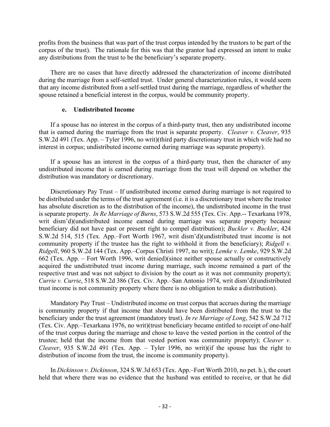profits from the business that was part of the trust corpus intended by the trustors to be part of the corpus of the trust). The rationale for this was that the grantor had expressed an intent to make any distributions from the trust to be the beneficiary's separate property.

There are no cases that have directly addressed the characterization of income distributed during the marriage from a self-settled trust. Under general characterization rules, it would seem that any income distributed from a self-settled trust during the marriage, regardless of whether the spouse retained a beneficial interest in the corpus, would be community property.

#### **e. Undistributed Income**

If a spouse has no interest in the corpus of a third-party trust, then any undistributed income that is earned during the marriage from the trust is separate property. *Cleaver v. Cleaver*, 935 S.W.2d 491 (Tex. App. – Tyler 1996, no writ)(third party discretionary trust in which wife had no interest in corpus; undistributed income earned during marriage was separate property).

If a spouse has an interest in the corpus of a third-party trust, then the character of any undistributed income that is earned during marriage from the trust will depend on whether the distribution was mandatory or discretionary.

Discretionary Pay Trust – If undistributed income earned during marriage is not required to be distributed under the terms of the trust agreement (i.e. it is a discretionary trust where the trustee has absolute discretion as to the distribution of the income), the undistributed income in the trust is separate property. *In Re Marriage of Burns*, 573 S.W.2d 555 (Tex. Civ. App.-- Texarkana 1978, writ dism'd)(undistributed income earned during marriage was separate property because beneficiary did not have past or present right to compel distribution); *Buckler v. Buckler*, 424 S.W.2d 514, 515 (Tex. App.–Fort Worth 1967, writ dism'd)(undistributed trust income is not community property if the trustee has the right to withhold it from the beneficiary); *Ridgell v. Ridgell*, 960 S.W.2d 144 (Tex. App.–Corpus Christi 1997, no writ); *Lemke v. Lemke*, 929 S.W.2d 662 (Tex. App. – Fort Worth 1996, writ denied)(since neither spouse actually or constructively acquired the undistributed trust income during marriage, such income remained a part of the respective trust and was not subject to division by the court as it was not community property); *Currie v. Currie*, 518 S.W.2d 386 (Tex. Civ. App.–San Antonio 1974, writ dism'd)(undistributed trust income is not community property where there is no obligation to make a distribution).

Mandatory Pay Trust – Undistributed income on trust corpus that accrues during the marriage is community property if that income that should have been distributed from the trust to the beneficiary under the trust agreement (mandatory trust). *In re Marriage of Long*, 542 S.W.2d 712 (Tex. Civ. App.–Texarkana 1976, no writ)(trust beneficiary became entitled to receipt of one-half of the trust corpus during the marriage and chose to leave the vested portion in the control of the trustee; held that the income from that vested portion was community property); *Cleaver v. Cleaver*, 935 S.W.2d 491 (Tex. App. – Tyler 1996, no writ)(if the spouse has the right to distribution of income from the trust, the income is community property).

In *Dickinson v. Dickinson*, 324 S.W.3d 653 (Tex. App.–Fort Worth 2010, no pet. h.), the court held that where there was no evidence that the husband was entitled to receive, or that he did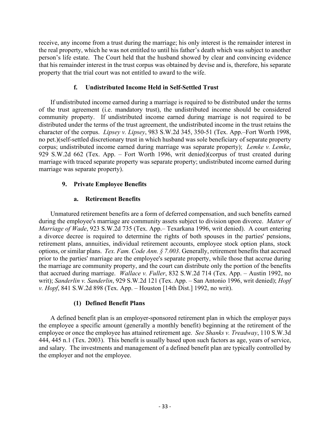receive, any income from a trust during the marriage; his only interest is the remainder interest in the real property, which he was not entitled to until his father's death which was subject to another person's life estate. The Court held that the husband showed by clear and convincing evidence that his remainder interest in the trust corpus was obtained by devise and is, therefore, his separate property that the trial court was not entitled to award to the wife.

# **f. Undistributed Income Held in Self-Settled Trust**

If undistributed income earned during a marriage is required to be distributed under the terms of the trust agreement (i.e. mandatory trust), the undistributed income should be considered community property. If undistributed income earned during marriage is not required to be distributed under the terms of the trust agreement, the undistributed income in the trust retains the character of the corpus. *Lipsey v. Lipsey*, 983 S.W.2d 345, 350-51 (Tex. App.–Fort Worth 1998, no pet.)(self-settled discretionary trust in which husband was sole beneficiary of separate property corpus; undistributed income earned during marriage was separate property); *Lemke v. Lemke*, 929 S.W.2d 662 (Tex. App. – Fort Worth 1996, writ denied)(corpus of trust created during marriage with traced separate property was separate property; undistributed income earned during marriage was separate property).

# **9. Private Employee Benefits**

# **a. Retirement Benefits**

Unmatured retirement benefits are a form of deferred compensation, and such benefits earned during the employee's marriage are community assets subject to division upon divorce. *Matter of Marriage of Wade*, 923 S.W.2d 735 (Tex. App.– Texarkana 1996, writ denied). A court entering a divorce decree is required to determine the rights of both spouses in the parties' pensions, retirement plans, annuities, individual retirement accounts, employee stock option plans, stock options, or similar plans. *Tex. Fam. Code Ann. § 7.003*. Generally, retirement benefits that accrued prior to the parties' marriage are the employee's separate property, while those that accrue during the marriage are community property, and the court can distribute only the portion of the benefits that accrued during marriage. *Wallace v. Fuller*, 832 S.W.2d 714 (Tex. App. – Austin 1992, no writ); *Sanderlin v. Sanderlin*, 929 S.W.2d 121 (Tex. App. – San Antonio 1996, writ denied); *Hopf v. Hopf*, 841 S.W.2d 898 (Tex. App. – Houston [14th Dist.] 1992, no writ).

# **(1) Defined Benefit Plans**

A defined benefit plan is an employer-sponsored retirement plan in which the employer pays the employee a specific amount (generally a monthly benefit) beginning at the retirement of the employee or once the employee has attained retirement age. *See Shanks v. Treadway*, 110 S.W.3d 444, 445 n.1 (Tex. 2003). This benefit is usually based upon such factors as age, years of service, and salary. The investments and management of a defined benefit plan are typically controlled by the employer and not the employee.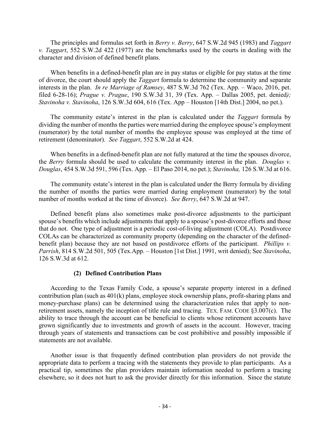The principles and formulas set forth in *Berry v. Berry*, 647 S.W.2d 945 (1983) and *Taggart v. Taggart*, 552 S.W.2d 422 (1977) are the benchmarks used by the courts in dealing with the character and division of defined benefit plans.

When benefits in a defined-benefit plan are in pay status or eligible for pay status at the time of divorce, the court should apply the *Taggart* formula to determine the community and separate interests in the plan. *In re Marriage of Ramsey*, 487 S.W.3d 762 (Tex. App. – Waco, 2016, pet. filed 6-28-16); *Prague v. Prague*, 190 S.W.3d 31, 39 (Tex. App. – Dallas 2005, pet. denied*); Stavinoha v. Stavinoha*, 126 S.W.3d 604, 616 (Tex. App – Houston [14th Dist.] 2004, no pet.).

The community estate's interest in the plan is calculated under the *Taggart* formula by dividing the number of months the parties were married during the employee spouse's employment (numerator) by the total number of months the employee spouse was employed at the time of retirement (denominator). *See Taggart*, 552 S.W.2d at 424.

When benefits in a defined-benefit plan are not fully matured at the time the spouses divorce, the *Berry* formula should be used to calculate the community interest in the plan. *Douglas v. Douglas*, 454 S.W.3d 591, 596 (Tex. App. – El Paso 2014, no pet.); *Stavinoha,* 126 S.W.3d at 616.

The community estate's interest in the plan is calculated under the Berry formula by dividing the number of months the parties were married during employment (numerator) by the total number of months worked at the time of divorce). *See Berry*, 647 S.W.2d at 947.

Defined benefit plans also sometimes make post-divorce adjustments to the participant spouse's benefits which include adjustments that apply to a spouse's post-divorce efforts and those that do not. One type of adjustment is a periodic cost-of-living adjustment (COLA). Postdivorce COLAs can be characterized as community property (depending on the character of the definedbenefit plan) because they are not based on postdivorce efforts of the participant. *Phillips v. Parrish*, 814 S.W.2d 501, 505 (Tex.App. – Houston [1st Dist.] 1991, writ denied); See *Stavinoha*, 126 S.W.3d at 612.

## **(2) Defined Contribution Plans**

According to the Texas Family Code, a spouse's separate property interest in a defined contribution plan (such as 401(k) plans, employee stock ownership plans, profit-sharing plans and money-purchase plans) can be determined using the characterization rules that apply to nonretirement assets, namely the inception of title rule and tracing. TEX. FAM. CODE §3.007(c).The ability to trace through the account can be beneficial to clients whose retirement accounts have grown significantly due to investments and growth of assets in the account. However, tracing through years of statements and transactions can be cost prohibitive and possibly impossible if statements are not available.

Another issue is that frequently defined contribution plan providers do not provide the appropriate data to perform a tracing with the statements they provide to plan participants. As a practical tip, sometimes the plan providers maintain information needed to perform a tracing elsewhere, so it does not hurt to ask the provider directly for this information. Since the statute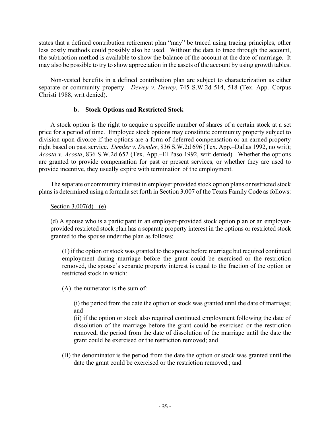states that a defined contribution retirement plan "may" be traced using tracing principles, other less costly methods could possibly also be used. Without the data to trace through the account, the subtraction method is available to show the balance of the account at the date of marriage. It may also be possible to try to show appreciation in the assets of the account by using growth tables.

Non-vested benefits in a defined contribution plan are subject to characterization as either separate or community property. *Dewey v. Dewey*, 745 S.W.2d 514, 518 (Tex. App.–Corpus Christi 1988, writ denied).

## **b. Stock Options and Restricted Stock**

A stock option is the right to acquire a specific number of shares of a certain stock at a set price for a period of time. Employee stock options may constitute community property subject to division upon divorce if the options are a form of deferred compensation or an earned property right based on past service. *Demler v. Demler*, 836 S.W.2d 696 (Tex. App.–Dallas 1992, no writ); *Acosta v. Acosta*, 836 S.W.2d 652 (Tex. App.–El Paso 1992, writ denied). Whether the options are granted to provide compensation for past or present services, or whether they are used to provide incentive, they usually expire with termination of the employment.

The separate or community interest in employer provided stock option plans or restricted stock plans is determined using a formula set forth in Section 3.007 of the Texas Family Code as follows:

### Section  $3.007(d)$  - (e)

(d) A spouse who is a participant in an employer-provided stock option plan or an employerprovided restricted stock plan has a separate property interest in the options or restricted stock granted to the spouse under the plan as follows:

(1) if the option or stock was granted to the spouse before marriage but required continued employment during marriage before the grant could be exercised or the restriction removed, the spouse's separate property interest is equal to the fraction of the option or restricted stock in which:

(A) the numerator is the sum of:

(i) the period from the date the option or stock was granted until the date of marriage; and

(ii) if the option or stock also required continued employment following the date of dissolution of the marriage before the grant could be exercised or the restriction removed, the period from the date of dissolution of the marriage until the date the grant could be exercised or the restriction removed; and

(B) the denominator is the period from the date the option or stock was granted until the date the grant could be exercised or the restriction removed.; and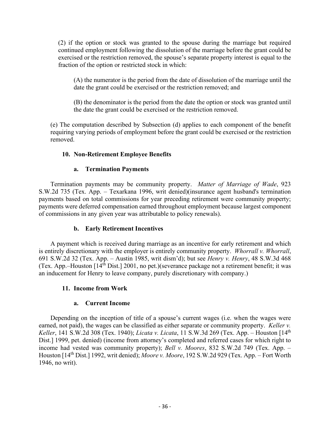(2) if the option or stock was granted to the spouse during the marriage but required continued employment following the dissolution of the marriage before the grant could be exercised or the restriction removed, the spouse's separate property interest is equal to the fraction of the option or restricted stock in which:

(A) the numerator is the period from the date of dissolution of the marriage until the date the grant could be exercised or the restriction removed; and

(B) the denominator is the period from the date the option or stock was granted until the date the grant could be exercised or the restriction removed.

(e) The computation described by Subsection (d) applies to each component of the benefit requiring varying periods of employment before the grant could be exercised or the restriction removed.

## **10. Non-Retirement Employee Benefits**

## **a. Termination Payments**

Termination payments may be community property. *Matter of Marriage of Wade*, 923 S.W.2d 735 (Tex. App. – Texarkana 1996, writ denied)(insurance agent husband's termination payments based on total commissions for year preceding retirement were community property; payments were deferred compensation earned throughout employment because largest component of commissions in any given year was attributable to policy renewals).

## **b. Early Retirement Incentives**

A payment which is received during marriage as an incentive for early retirement and which is entirely discretionary with the employer is entirely community property. *Whorrall v. Whorrall*, 691 S.W.2d 32 (Tex. App. – Austin 1985, writ dism'd); but see *Henry v. Henry*, 48 S.W.3d 468 (Tex. App.–Houston [14th Dist.] 2001, no pet.)(severance package not a retirement benefit; it was an inducement for Henry to leave company, purely discretionary with company.)

## **11. Income from Work**

## **a. Current Income**

Depending on the inception of title of a spouse's current wages (i.e. when the wages were earned, not paid), the wages can be classified as either separate or community property. *Keller v. Keller*, 141 S.W.2d 308 (Tex. 1940); *Licata v. Licata*, 11 S.W.3d 269 (Tex. App. – Houston [14th Dist.] 1999, pet. denied) (income from attorney's completed and referred cases for which right to income had vested was community property); *Bell v. Moores*, 832 S.W.2d 749 (Tex. App. – Houston [14th Dist.] 1992, writ denied); *Moore v. Moore*, 192 S.W.2d 929 (Tex. App. – Fort Worth 1946, no writ).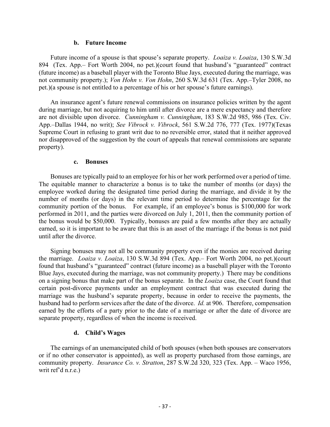#### **b. Future Income**

Future income of a spouse is that spouse's separate property. *Loaiza v. Loaiza*, 130 S.W.3d 894 (Tex. App.– Fort Worth 2004, no pet.)(court found that husband's "guaranteed" contract (future income) as a baseball player with the Toronto Blue Jays, executed during the marriage, was not community property.); *Von Hohn v. Von Hohn*, 260 S.W.3d 631 (Tex. App.–Tyler 2008, no pet.)(a spouse is not entitled to a percentage of his or her spouse's future earnings).

An insurance agent's future renewal commissions on insurance policies written by the agent during marriage, but not acquiring to him until after divorce are a mere expectancy and therefore are not divisible upon divorce. *Cunningham v. Cunningham*, 183 S.W.2d 985, 986 (Tex. Civ. App.–Dallas 1944, no writ); *See Vibrock v. Vibrock*, 561 S.W.2d 776, 777 (Tex. 1977)(Texas Supreme Court in refusing to grant writ due to no reversible error, stated that it neither approved nor disapproved of the suggestion by the court of appeals that renewal commissions are separate property).

#### **c. Bonuses**

Bonuses are typically paid to an employee for his or her work performed over a period of time. The equitable manner to characterize a bonus is to take the number of months (or days) the employee worked during the designated time period during the marriage, and divide it by the number of months (or days) in the relevant time period to determine the percentage for the community portion of the bonus. For example, if an employee's bonus is \$100,000 for work performed in 2011, and the parties were divorced on July 1, 2011, then the community portion of the bonus would be \$50,000. Typically, bonuses are paid a few months after they are actually earned, so it is important to be aware that this is an asset of the marriage if the bonus is not paid until after the divorce.

Signing bonuses may not all be community property even if the monies are received during the marriage. *Loaiza v. Loaiza*, 130 S.W.3d 894 (Tex. App.– Fort Worth 2004, no pet.)(court found that husband's "guaranteed" contract (future income) as a baseball player with the Toronto Blue Jays, executed during the marriage, was not community property.) There may be conditions on a signing bonus that make part of the bonus separate. In the *Loaiza* case, the Court found that certain post-divorce payments under an employment contract that was executed during the marriage was the husband's separate property, because in order to receive the payments, the husband had to perform services after the date of the divorce. *Id.* at 906. Therefore, compensation earned by the efforts of a party prior to the date of a marriage or after the date of divorce are separate property, regardless of when the income is received.

#### **d. Child's Wages**

The earnings of an unemancipated child of both spouses (when both spouses are conservators or if no other conservator is appointed), as well as property purchased from those earnings, are community property. *Insurance Co. v. Stratton*, 287 S.W.2d 320, 323 (Tex. App. – Waco 1956, writ ref'd n.r.e.)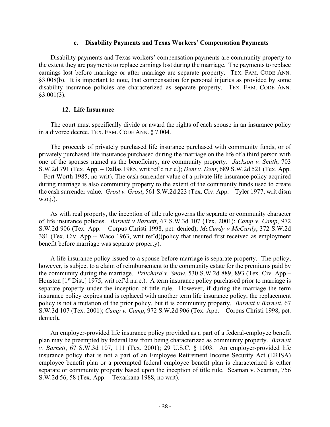#### **e. Disability Payments and Texas Workers' Compensation Payments**

Disability payments and Texas workers' compensation payments are community property to the extent they are payments to replace earnings lost during the marriage. The payments to replace earnings lost before marriage or after marriage are separate property. TEX. FAM. CODE ANN. §3.008(b). It is important to note, that compensation for personal injuries as provided by some disability insurance policies are characterized as separate property. TEX. FAM. CODE ANN. §3.001(3).

#### **12. Life Insurance**

The court must specifically divide or award the rights of each spouse in an insurance policy in a divorce decree. TEX. FAM. CODE ANN. § 7.004.

The proceeds of privately purchased life insurance purchased with community funds, or of privately purchased life insurance purchased during the marriage on the life of a third person with one of the spouses named as the beneficiary, are community property. *Jackson v. Smith*, 703 S.W.2d 791 (Tex. App. – Dallas 1985, writ ref'd n.r.e.); *Dent v. Dent*, 689 S.W.2d 521 (Tex. App. – Fort Worth 1985, no writ). The cash surrender value of a private life insurance policy acquired during marriage is also community property to the extent of the community funds used to create the cash surrender value. *Grost v. Grost*, 561 S.W.2d 223 (Tex. Civ. App. – Tyler 1977, writ dism w.o.j.).

As with real property, the inception of title rule governs the separate or community character of life insurance policies. *Barnett v Barnett*, 67 S.W.3d 107 (Tex. 2001); *Camp v. Camp*, 972 S.W.2d 906 (Tex. App. – Corpus Christi 1998, pet. denied); *McCurdy v McCurdy*, 372 S.W.2d 381 (Tex. Civ. App.-- Waco 1963, writ ref'd)(policy that insured first received as employment benefit before marriage was separate property).

A life insurance policy issued to a spouse before marriage is separate property. The policy, however, is subject to a claim of reimbursement to the community estate for the premiums paid by the community during the marriage. *Pritchard v. Snow*, 530 S.W.2d 889, 893 (Tex. Civ. App.– Houston  $[1<sup>st</sup> Dist.]$  1975, writ ref'd n.r.e.). A term insurance policy purchased prior to marriage is separate property under the inception of title rule. However, if during the marriage the term insurance policy expires and is replaced with another term life insurance policy, the replacement policy is not a mutation of the prior policy, but it is community property. *Barnett v Barnett*, 67 S.W.3d 107 (Tex. 2001); *Camp v. Camp*, 972 S.W.2d 906 (Tex. App. – Corpus Christi 1998, pet. denied)**.**

An employer-provided life insurance policy provided as a part of a federal-employee benefit plan may be preempted by federal law from being characterized as community property. *Barnett v. Barnett*, 67 S.W.3d 107, 111 (Tex. 2001); 29 U.S.C. § 1003. An employer-provided life insurance policy that is not a part of an Employee Retirement Income Security Act (ERISA) employee benefit plan or a preempted federal employee benefit plan is characterized is either separate or community property based upon the inception of title rule. Seaman v. Seaman, 756 S.W.2d 56, 58 (Tex. App. – Texarkana 1988, no writ).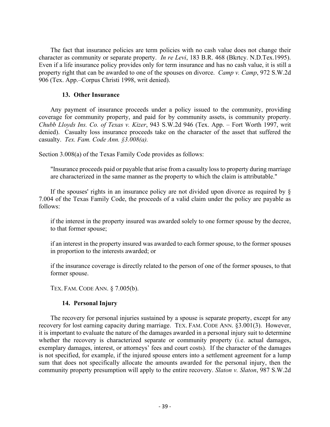The fact that insurance policies are term policies with no cash value does not change their character as community or separate property. *In re Levi*, 183 B.R. 468 (Bkrtcy. N.D.Tex.1995). Even if a life insurance policy provides only for term insurance and has no cash value, it is still a property right that can be awarded to one of the spouses on divorce. *Camp v. Camp*, 972 S.W.2d 906 (Tex. App.–Corpus Christi 1998, writ denied).

#### **13. Other Insurance**

Any payment of insurance proceeds under a policy issued to the community, providing coverage for community property, and paid for by community assets, is community property. *Chubb Lloyds Ins. Co. of Texas v. Kizer*, 943 S.W.2d 946 (Tex. App. – Fort Worth 1997, writ denied). Casualty loss insurance proceeds take on the character of the asset that suffered the casualty. *Tex. Fam. Code Ann. §3.008(a).*

Section 3.008(a) of the Texas Family Code provides as follows:

"Insurance proceeds paid or payable that arise from a casualty loss to property during marriage are characterized in the same manner as the property to which the claim is attributable."

If the spouses' rights in an insurance policy are not divided upon divorce as required by  $\S$ 7.004 of the Texas Family Code, the proceeds of a valid claim under the policy are payable as follows:

if the interest in the property insured was awarded solely to one former spouse by the decree, to that former spouse;

if an interest in the property insured was awarded to each former spouse, to the former spouses in proportion to the interests awarded; or

if the insurance coverage is directly related to the person of one of the former spouses, to that former spouse.

TEX. FAM. CODE ANN. § 7.005(b).

#### **14. Personal Injury**

The recovery for personal injuries sustained by a spouse is separate property, except for any recovery for lost earning capacity during marriage. TEX. FAM. CODE ANN. §3.001(3). However, it is important to evaluate the nature of the damages awarded in a personal injury suit to determine whether the recovery is characterized separate or community property (i.e. actual damages, exemplary damages, interest, or attorneys' fees and court costs). If the character of the damages is not specified, for example, if the injured spouse enters into a settlement agreement for a lump sum that does not specifically allocate the amounts awarded for the personal injury, then the community property presumption will apply to the entire recovery. *Slaton v. Slaton*, 987 S.W.2d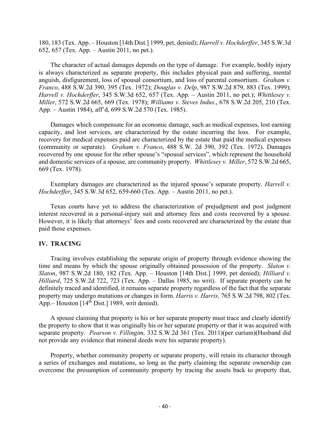180, 183 (Tex. App. – Houston [14th Dist.] 1999, pet, denied); *Harrell v. Hochderffer*, 345 S.W.3d 652, 657 (Tex. App. – Austin 2011, no pet.).

The character of actual damages depends on the type of damage. For example, bodily injury is always characterized as separate property, this includes physical pain and suffering, mental anguish, disfigurement, loss of spousal consortium, and loss of parental consortium. *Graham v. Franco*, 488 S.W.2d 390, 395 (Tex. 1972); *Douglas v. Delp*, 987 S.W.2d 879, 883 (Tex. 1999); *Harrell v. Hochderffer*, 345 S.W.3d 652, 657 (Tex. App. – Austin 2011, no pet.); *Whittlesey v. Miller*, 572 S.W.2d 665, 669 (Tex. 1978); *Williams v. Steves Indus*., 678 S.W.2d 205, 210 (Tex. App. – Austin 1984), aff'd, 699 S.W.2d 570 (Tex. 1985).

Damages which compensate for an economic damage, such as medical expenses, lost earning capacity, and lost services, are characterized by the estate incurring the loss. For example, recovery for medical expenses paid are characterized by the estate that paid the medical expenses (community or separate). *Graham v. Franco*, 488 S.W. 2d 390, 392 (Tex. 1972). Damages recovered by one spouse for the other spouse's "spousal services", which represent the household and domestic services of a spouse, are community property. *Whittlesey v. Miller*, 572 S.W.2d 665, 669 (Tex. 1978).

Exemplary damages are characterized as the injured spouse's separate property. *Harrell v. Hochderffer*, 345 S.W.3d 652, 659-660 (Tex. App. – Austin 2011, no pet.).

Texas courts have yet to address the characterization of prejudgment and post judgment interest recovered in a personal-injury suit and attorney fees and costs recovered by a spouse. However, it is likely that attorneys' fees and costs recovered are characterized by the estate that paid those expenses.

#### **IV. TRACING**

Tracing involves establishing the separate origin of property through evidence showing the time and means by which the spouse originally obtained possession of the property. *Slaton v. Slaton*, 987 S.W.2d 180, 182 (Tex. App. – Houston [14th Dist.] 1999, pet denied); *Hilliard v. Hilliard*, 725 S.W.2d 722, 723 (Tex. App. – Dallas 1985, no writ). If separate property can be definitely traced and identified, it remains separate property regardless of the fact that the separate property may undergo mutations or changes in form. *Harris v. Harris,* 765 S.W.2d 798, 802 (Tex. App.– Houston  $[14<sup>th</sup> Dist.]$  1989, writ denied).

A spouse claiming that property is his or her separate property must trace and clearly identify the property to show that it was originally his or her separate property or that it was acquired with separate property. *Pearson v. Fillingim,* 332 S.W.2d 361 (Tex. 2011)(per curium)(Husband did not provide any evidence that mineral deeds were his separate property).

Property, whether community property or separate property, will retain its character through a series of exchanges and mutations, so long as the party claiming the separate ownership can overcome the presumption of community property by tracing the assets back to property that,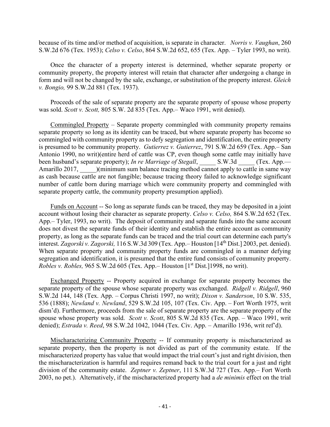because of its time and/or method of acquisition, is separate in character. *Norris v. Vaughan*, 260 S.W.2d 676 (Tex. 1953); *Celso v. Celso*, 864 S.W.2d 652, 655 (Tex. App. – Tyler 1993, no writ).

Once the character of a property interest is determined, whether separate property or community property, the property interest will retain that character after undergoing a change in form and will not be changed by the sale, exchange, or substitution of the property interest. *Gleich v. Bongio,* 99 S.W.2d 881 (Tex. 1937).

Proceeds of the sale of separate property are the separate property of spouse whose property was sold. *Scott v. Scott,* 805 S.W. 2d 835 (Tex. App.– Waco 1991, writ denied).

Commingled Property – Separate property commingled with community property remains separate property so long as its identity can be traced, but where separate property has become so commingled with community property as to defy segregation and identification, the entire property is presumed to be community property. *Gutierrez v. Gutierrez*, 791 S.W.2d 659 (Tex. App.– San Antonio 1990, no writ)(entire herd of cattle was CP, even though some cattle may initially have been husband's separate property); *In re Marriage of Stegall*, S.W.3d (Tex. App.— Amarillo 2017, Chrinimum sum balance tracing method cannot apply to cattle in same way as cash because cattle are not fungible; because tracing theory failed to acknowledge significant number of cattle born during marriage which were community property and commingled with separate property cattle, the community property presumption applied).

Funds on Account -- So long as separate funds can be traced, they may be deposited in a joint account without losing their character as separate property. *Celso v. Celso,* 864 S.W.2d 652 (Tex. App.– Tyler, 1993, no writ). The deposit of community and separate funds into the same account does not divest the separate funds of their identity and establish the entire account as community property, as long as the separate funds can be traced and the trial court can determine each party's interest. *Zagorski v. Zagorski,* 116 S.W.3d 309 (Tex. App.– Houston [14th Dist.] 2003, pet. denied). When separate property and community property funds are commingled in a manner defying segregation and identification, it is presumed that the entire fund consists of community property. *Robles v. Robles, 965 S.W.2d 605 (Tex. App.*– Houston [1<sup>st</sup> Dist.]1998, no writ).

Exchanged Property -- Property acquired in exchange for separate property becomes the separate property of the spouse whose separate property was exchanged. *Ridgell v. Ridgell*, 960 S.W.2d 144, 148 (Tex. App. – Corpus Christi 1997, no writ); *Dixon v. Sanderson*, 10 S.W. 535, 536 (1888); *Newland v. Newland*, 529 S.W.2d 105, 107 (Tex. Civ. App. – Fort Worth 1975, writ dism'd). Furthermore, proceeds from the sale of separate property are the separate property of the spouse whose property was sold. *Scott v. Scott*, 805 S.W.2d 835 (Tex. App. – Waco 1991, writ denied); *Estrada v. Reed*, 98 S.W.2d 1042, 1044 (Tex. Civ. App. – Amarillo 1936, writ ref'd).

Mischaracterizing Community Property -- If community property is mischaracterized as separate property, then the property is not divided as part of the community estate. If the mischaracterized property has value that would impact the trial court's just and right division, then the mischaracterization is harmful and requires remand back to the trial court for a just and right division of the community estate. *Zeptner v. Zeptner*, 111 S.W.3d 727 (Tex. App.– Fort Worth 2003, no pet.). Alternatively, if the mischaracterized property had a *de minimis* effect on the trial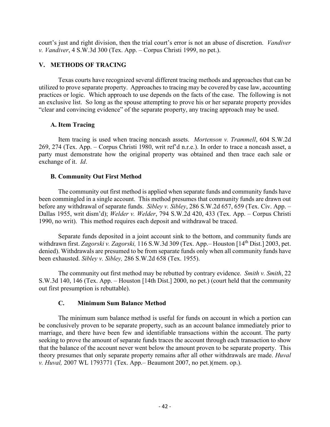court's just and right division, then the trial court's error is not an abuse of discretion. *Vandiver v. Vandiver*, 4 S.W.3d 300 (Tex. App. – Corpus Christi 1999, no pet.).

## **V. METHODS OF TRACING**

Texas courts have recognized several different tracing methods and approaches that can be utilized to prove separate property. Approaches to tracing may be covered by case law, accounting practices or logic. Which approach to use depends on the facts of the case. The following is not an exclusive list. So long as the spouse attempting to prove his or her separate property provides "clear and convincing evidence" of the separate property, any tracing approach may be used.

# **A. Item Tracing**

Item tracing is used when tracing noncash assets. *Mortenson v. Trammell*, 604 S.W.2d 269, 274 (Tex. App. – Corpus Christi 1980, writ ref'd n.r.e.). In order to trace a noncash asset, a party must demonstrate how the original property was obtained and then trace each sale or exchange of it. *Id*.

# **B. Community Out First Method**

The community out first method is applied when separate funds and community funds have been commingled in a single account. This method presumes that community funds are drawn out before any withdrawal of separate funds. *Sibley v. Sibley*, 286 S.W.2d 657, 659 (Tex. Civ. App. – Dallas 1955, writ dism'd); *Welder v. Welder*, 794 S.W.2d 420, 433 (Tex. App. – Corpus Christi 1990, no writ). This method requires each deposit and withdrawal be traced.

Separate funds deposited in a joint account sink to the bottom, and community funds are withdrawn first. *Zagorski v. Zagorski,* 116 S.W.3d 309 (Tex. App.– Houston [14th Dist.] 2003, pet. denied). Withdrawals are presumed to be from separate funds only when all community funds have been exhausted. *Sibley v. Sibley,* 286 S.W.2d 658 (Tex. 1955).

The community out first method may be rebutted by contrary evidence. *Smith v. Smith*, 22 S.W.3d 140, 146 (Tex. App. – Houston [14th Dist.] 2000, no pet.) (court held that the community out first presumption is rebuttable).

## **C. Minimum Sum Balance Method**

The minimum sum balance method is useful for funds on account in which a portion can be conclusively proven to be separate property, such as an account balance immediately prior to marriage, and there have been few and identifiable transactions within the account. The party seeking to prove the amount of separate funds traces the account through each transaction to show that the balance of the account never went below the amount proven to be separate property. This theory presumes that only separate property remains after all other withdrawals are made. *Huval v. Huval,* 2007 WL 1793771 (Tex. App.– Beaumont 2007, no pet.)(mem. op.).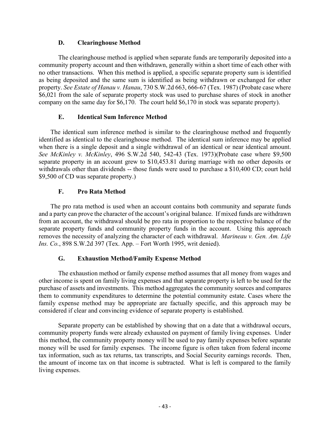## **D. Clearinghouse Method**

The clearinghouse method is applied when separate funds are temporarily deposited into a community property account and then withdrawn, generally within a short time of each other with no other transactions. When this method is applied, a specific separate property sum is identified as being deposited and the same sum is identified as being withdrawn or exchanged for other property. *See Estate of Hanau v. Hanau*, 730 S.W.2d 663, 666-67 (Tex. 1987) (Probate case where \$6,021 from the sale of separate property stock was used to purchase shares of stock in another company on the same day for \$6,170. The court held \$6,170 in stock was separate property).

## **E. Identical Sum Inference Method**

The identical sum inference method is similar to the clearinghouse method and frequently identified as identical to the clearinghouse method. The identical sum inference may be applied when there is a single deposit and a single withdrawal of an identical or near identical amount. *See McKinley v. McKinley*, 496 S.W.2d 540, 542-43 (Tex. 1973)(Probate case where \$9,500 separate property in an account grew to \$10,453.81 during marriage with no other deposits or withdrawals other than dividends -- those funds were used to purchase a \$10,400 CD; court held \$9,500 of CD was separate property.)

## **F. Pro Rata Method**

The pro rata method is used when an account contains both community and separate funds and a party can prove the character of the account's original balance. If mixed funds are withdrawn from an account, the withdrawal should be pro rata in proportion to the respective balance of the separate property funds and community property funds in the account. Using this approach removes the necessity of analyzing the character of each withdrawal. *Marineau v. Gen. Am. Life Ins. Co.*, 898 S.W.2d 397 (Tex. App. – Fort Worth 1995, writ denied).

## **G. Exhaustion Method/Family Expense Method**

The exhaustion method or family expense method assumes that all money from wages and other income is spent on family living expenses and that separate property is left to be used for the purchase of assets and investments. This method aggregates the community sources and compares them to community expenditures to determine the potential community estate. Cases where the family expense method may be appropriate are factually specific, and this approach may be considered if clear and convincing evidence of separate property is established.

Separate property can be established by showing that on a date that a withdrawal occurs, community property funds were already exhausted on payment of family living expenses. Under this method, the community property money will be used to pay family expenses before separate money will be used for family expenses. The income figure is often taken from federal income tax information, such as tax returns, tax transcripts, and Social Security earnings records. Then, the amount of income tax on that income is subtracted. What is left is compared to the family living expenses.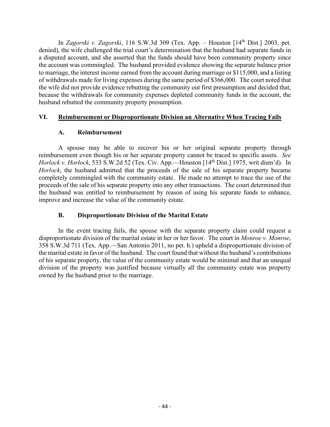In *Zagorski v. Zagorski*, 116 S.W.3d 309 (Tex. App. – Houston [14th Dist.] 2003, pet. denied), the wife challenged the trial court's determination that the husband had separate funds in a disputed account, and she asserted that the funds should have been community property since the account was commingled. The husband provided evidence showing the separate balance prior to marriage, the interest income earned from the account during marriage or \$115,000, and a listing of withdrawals made for living expenses during the same period of \$366,000. The court noted that the wife did not provide evidence rebutting the community out first presumption and decided that, because the withdrawals for community expenses depleted community funds in the account, the husband rebutted the community property presumption.

## **VI. Reimbursement or Disproportionate Division an Alternative When Tracing Fails**

# **A. Reimbursement**

A spouse may be able to recover his or her original separate property through reimbursement even though his or her separate property cannot be traced to specific assets. *See Horlock v. Horlock*, 533 S.W.2d 52 (Tex. Civ. App.—Houston [14th Dist.] 1975, writ dism'd). In *Horlock*, the husband admitted that the proceeds of the sale of his separate property became completely commingled with the community estate. He made no attempt to trace the use of the proceeds of the sale of his separate property into any other transactions. The court determined that the husband was entitled to reimbursement by reason of using his separate funds to enhance, improve and increase the value of the community estate.

# **B. Disproportionate Division of the Marital Estate**

In the event tracing fails, the spouse with the separate property claim could request a disproportionate division of the marital estate in her or her favor. The court in *Monroe v. Monroe*, 358 S.W.3d 711 (Tex. App.—San Antonio 2011, no pet. h.) upheld a disproportionate division of the marital estate in favor of the husband. The court found that without the husband's contributions of his separate property, the value of the community estate would be minimal and that an unequal division of the property was justified because virtually all the community estate was property owned by the husband prior to the marriage.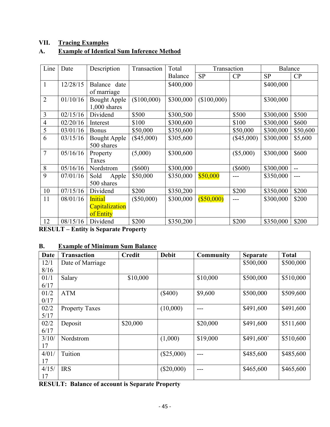# **VII. Tracing Examples**

# **A. Example of Identical Sum Inference Method**

| Line           | Date     | Description         | Transaction  | Total     | Transaction |              | Balance   |          |
|----------------|----------|---------------------|--------------|-----------|-------------|--------------|-----------|----------|
|                |          |                     |              | Balance   | <b>SP</b>   | CP           | <b>SP</b> | CP       |
| $\mathbf{1}$   | 12/28/15 | Balance date        |              | \$400,000 |             |              | \$400,000 |          |
|                |          | of marriage         |              |           |             |              |           |          |
| $\overline{2}$ | 01/10/16 | <b>Bought Apple</b> | (\$100,000)  | \$300,000 | (\$100,000) |              | \$300,000 |          |
|                |          | $1,000$ shares      |              |           |             |              |           |          |
| 3              | 02/15/16 | Dividend            | \$500        | \$300,500 |             | \$500        | \$300,000 | \$500    |
| $\overline{4}$ | 02/20/16 | Interest            | \$100        | \$300,600 |             | \$100        | \$300,000 | \$600    |
| 5              | 03/01/16 | <b>Bonus</b>        | \$50,000     | \$350,600 |             | \$50,000     | \$300,000 | \$50,600 |
| 6              | 03/15/16 | <b>Bought Apple</b> | $(\$45,000)$ | \$305,600 |             | $(\$45,000)$ | \$300,000 | \$5,600  |
|                |          | 500 shares          |              |           |             |              |           |          |
| $\overline{7}$ | 05/16/16 | Property            | (5,000)      | \$300,600 |             | (\$5,000)    | \$300,000 | \$600    |
|                |          | Taxes               |              |           |             |              |           |          |
| 8              | 05/16/16 | Nordstrom           | $(\$600)$    | \$300,000 |             | $(\$600)$    | \$300,000 | $-$      |
| 9              | 07/01/16 | Sold<br>Apple       | \$50,000     | \$350,000 | \$50,000    |              | \$350,000 |          |
|                |          | 500 shares          |              |           |             |              |           |          |
| 10             | 07/15/16 | Dividend            | \$200        | \$350,200 |             | \$200        | \$350,000 | \$200    |
| 11             | 08/01/16 | <b>Initial</b>      | $(\$50,000)$ | \$300,000 | (S50,000)   |              | \$300,000 | \$200    |
|                |          | Capitalization      |              |           |             |              |           |          |
|                |          | of Entity           |              |           |             |              |           |          |
| 12             | 08/15/16 | Dividend            | \$200        | \$350,200 |             | \$200        | \$350,000 | \$200    |

**RESULT – Entity is Separate Property**

# **B. Example of Minimum Sum Balance**

| Date  | <b>Transaction</b>    | <b>Credit</b> | <b>Debit</b> | <b>Community</b> | <b>Separate</b> | <b>Total</b> |
|-------|-----------------------|---------------|--------------|------------------|-----------------|--------------|
| 12/1  | Date of Marriage      |               |              |                  | \$500,000       | \$500,000    |
| 8/16  |                       |               |              |                  |                 |              |
| 01/1  | Salary                | \$10,000      |              | \$10,000         | \$500,000       | \$510,000    |
| 6/17  |                       |               |              |                  |                 |              |
| 01/2  | <b>ATM</b>            |               | $(\$400)$    | \$9,600          | \$500,000       | \$509,600    |
| 0/17  |                       |               |              |                  |                 |              |
| 02/2  | <b>Property Taxes</b> |               | (10,000)     |                  | \$491,600       | \$491,600    |
| 5/17  |                       |               |              |                  |                 |              |
| 02/2  | Deposit               | \$20,000      |              | \$20,000         | \$491,600       | \$511,600    |
| 6/17  |                       |               |              |                  |                 |              |
| 3/10/ | Nordstrom             |               | (1,000)      | \$19,000         | \$491,600       | \$510,600    |
| 17    |                       |               |              |                  |                 |              |
| 4/01/ | Tuition               |               | $(\$25,000)$ |                  | \$485,600       | \$485,600    |
| 17    |                       |               |              |                  |                 |              |
| 4/15/ | <b>IRS</b>            |               | $(\$20,000)$ |                  | \$465,600       | \$465,600    |
| 17    |                       |               |              |                  |                 |              |

**RESULT: Balance of account is Separate Property**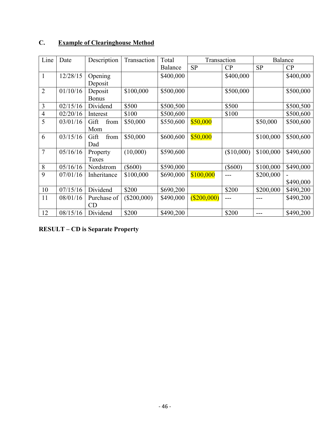| Line           | Date     | Description  | Transaction   | Total     | Transaction    |            |           | Balance   |  |
|----------------|----------|--------------|---------------|-----------|----------------|------------|-----------|-----------|--|
|                |          |              |               | Balance   | <b>SP</b>      | CP         | <b>SP</b> | CP        |  |
| $\mathbf{1}$   | 12/28/15 | Opening      |               | \$400,000 |                | \$400,000  |           | \$400,000 |  |
|                |          | Deposit      |               |           |                |            |           |           |  |
| $\overline{2}$ | 01/10/16 | Deposit      | \$100,000     | \$500,000 |                | \$500,000  |           | \$500,000 |  |
|                |          | <b>Bonus</b> |               |           |                |            |           |           |  |
| 3              | 02/15/16 | Dividend     | \$500         | \$500,500 |                | \$500      |           | \$500,500 |  |
| $\overline{4}$ | 02/20/16 | Interest     | \$100         | \$500,600 |                | \$100      |           | \$500,600 |  |
| 5              | 03/01/16 | from<br>Gift | \$50,000      | \$550,600 | \$50,000       |            | \$50,000  | \$500,600 |  |
|                |          | Mom          |               |           |                |            |           |           |  |
| 6              | 03/15/16 | from<br>Gift | \$50,000      | \$600,600 | \$50,000       |            | \$100,000 | \$500,600 |  |
|                |          | Dad          |               |           |                |            |           |           |  |
| $\overline{7}$ | 05/16/16 | Property     | (10,000)      | \$590,600 |                | (\$10,000) | \$100,000 | \$490,600 |  |
|                |          | Taxes        |               |           |                |            |           |           |  |
| 8              | 05/16/16 | Nordstrom    | $(\$600)$     | \$590,000 |                | $(\$600)$  | \$100,000 | \$490,000 |  |
| 9              | 07/01/16 | Inheritance  | \$100,000     | \$690,000 | \$100,000      |            | \$200,000 |           |  |
|                |          |              |               |           |                |            |           | \$490,000 |  |
| 10             | 07/15/16 | Dividend     | \$200         | \$690,200 |                | \$200      | \$200,000 | \$490,200 |  |
| 11             | 08/01/16 | Purchase of  | $(\$200,000)$ | \$490,000 | $($ \$200,000) | ---        |           | \$490,200 |  |
|                |          | CD           |               |           |                |            |           |           |  |
| 12             | 08/15/16 | Dividend     | \$200         | \$490,200 |                | \$200      |           | \$490,200 |  |

# **C. Example of Clearinghouse Method**

**RESULT – CD is Separate Property**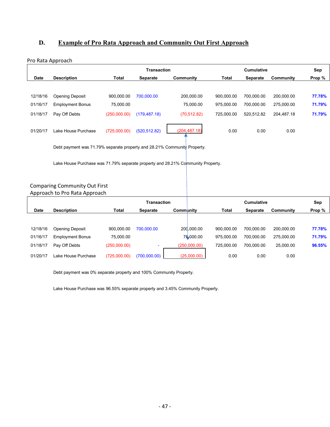# **D. Example of Pro Rata Approach and Community Out First Approach**

#### Pro Rata Approach

|             |                         |              | <b>Transaction</b> |               |            | <b>Cumulative</b> |                  | Sep    |
|-------------|-------------------------|--------------|--------------------|---------------|------------|-------------------|------------------|--------|
| <b>Date</b> | <b>Description</b>      | Total        | Separate           | Community     | Total      | <b>Separate</b>   | <b>Community</b> | Prop % |
|             |                         |              |                    |               |            |                   |                  |        |
| 12/18/16    | <b>Opening Deposit</b>  | 900.000.00   | 700.000.00         | 200.000.00    | 900.000.00 | 700.000.00        | 200.000.00       | 77.78% |
| 01/16/17    | <b>Employment Bonus</b> | 75.000.00    |                    | 75.000.00     | 975.000.00 | 700.000.00        | 275.000.00       | 71.79% |
| 01/18/17    | Pay Off Debts           | (250,000.00) | (179, 487.18)      | (70, 512.82)  | 725.000.00 | 520.512.82        | 204.487.18       | 71.79% |
| 01/20/17    | Lake House Purchase     | (725,000.00) | (520, 512.82)      | (204, 487.18) | 0.00       | 0.00              | 0.00             |        |

Debt payment was 71.79% separate property and 28.21% Community Property.

Lake House Purchase was 71.79% separate property and 28.21% Community Property.

#### Comparing Community Out First Approach to Pro Rata Approach

|             |                         |              | <b>Transaction</b> |           |              |            | <b>Cumulative</b> |            | Sep    |
|-------------|-------------------------|--------------|--------------------|-----------|--------------|------------|-------------------|------------|--------|
| <b>Date</b> | <b>Description</b>      | Total        | Separate           | Community |              | Total      | Separate          | Community  | Prop % |
|             |                         |              |                    |           |              |            |                   |            |        |
| 12/18/16    | Opening Deposit         | 900.000.00   | 700.000.00         |           | 200.000.00   | 900.000.00 | 700.000.00        | 200,000.00 | 77.78% |
| 01/16/17    | <b>Employment Bonus</b> | 75,000.00    |                    |           | 75,000.00    | 975.000.00 | 700.000.00        | 275.000.00 | 71.79% |
| 01/18/17    | Pay Off Debts           | (250,000.00) |                    |           | (250,000.00) | 725.000.00 | 700.000.00        | 25.000.00  | 96.55% |
| 01/20/17    | Lake House Purchase     | (725,000.00) | (700,000.00)       |           | (25,000.00)  | 0.00       | 0.00              | 0.00       |        |

Debt payment was 0% separate property and 100% Community Property.

Lake House Purchase was 96.55% separate property and 3.45% Community Property.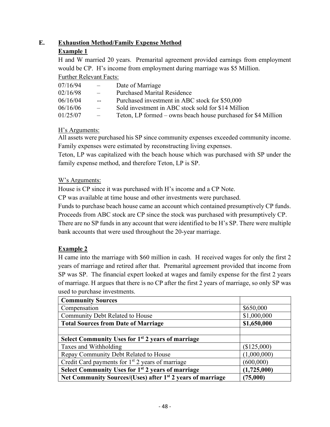# **E. Exhaustion Method/Family Expense Method**

# **Example 1**

H and W married 20 years. Premarital agreement provided earnings from employment would be CP. H's income from employment during marriage was \$5 Million. Further Relevant Facts:

| 07/16/94 | $\frac{1}{2}$ | Date of Marriage                                              |
|----------|---------------|---------------------------------------------------------------|
| 02/16/98 | $\frac{1}{2}$ | <b>Purchased Marital Residence</b>                            |
| 06/16/04 | $\sim$ $\sim$ | Purchased investment in ABC stock for \$50,000                |
| 06/16/06 | $\frac{1}{2}$ | Sold investment in ABC stock sold for \$14 Million            |
| 01/25/07 | $\frac{1}{2}$ | Teton, LP formed – owns beach house purchased for \$4 Million |

# H's Arguments:

All assets were purchased his SP since community expenses exceeded community income. Family expenses were estimated by reconstructing living expenses.

Teton, LP was capitalized with the beach house which was purchased with SP under the family expense method, and therefore Teton, LP is SP.

# W's Arguments:

House is CP since it was purchased with H's income and a CP Note.

CP was available at time house and other investments were purchased.

Funds to purchase beach house came an account which contained presumptively CP funds. Proceeds from ABC stock are CP since the stock was purchased with presumptively CP. There are no SP funds in any account that were identified to be H's SP. There were multiple

bank accounts that were used throughout the 20-year marriage.

# **Example 2**

H came into the marriage with \$60 million in cash. H received wages for only the first 2 years of marriage and retired after that. Premarital agreement provided that income from SP was SP. The financial expert looked at wages and family expense for the first 2 years of marriage. H argues that there is no CP after the first 2 years of marriage, so only SP was used to purchase investments.

| <b>Community Sources</b>                                               |               |
|------------------------------------------------------------------------|---------------|
| Compensation                                                           | \$650,000     |
| Community Debt Related to House                                        | \$1,000,000   |
| <b>Total Sources from Date of Marriage</b>                             | \$1,650,000   |
|                                                                        |               |
| Select Community Uses for 1 <sup>st</sup> 2 years of marriage          |               |
| Taxes and Withholding                                                  | $(\$125,000)$ |
| Repay Community Debt Related to House                                  | (1,000,000)   |
| Credit Card payments for $1st$ 2 years of marriage                     | (600,000)     |
| Select Community Uses for 1 <sup>st</sup> 2 years of marriage          | (1,725,000)   |
| Net Community Sources/(Uses) after 1 <sup>st</sup> 2 years of marriage | (75,000)      |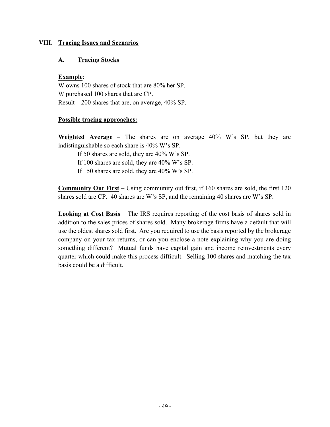### **VIII. Tracing Issues and Scenarios**

### **A. Tracing Stocks**

### **Example**:

W owns 100 shares of stock that are 80% her SP. W purchased 100 shares that are CP. Result – 200 shares that are, on average, 40% SP.

### **Possible tracing approaches:**

**Weighted Average** – The shares are on average 40% W's SP, but they are indistinguishable so each share is 40% W's SP.

If 50 shares are sold, they are 40% W's SP. If 100 shares are sold, they are 40% W's SP. If 150 shares are sold, they are 40% W's SP.

**Community Out First** – Using community out first, if 160 shares are sold, the first 120 shares sold are CP. 40 shares are W's SP, and the remaining 40 shares are W's SP.

**Looking at Cost Basis** – The IRS requires reporting of the cost basis of shares sold in addition to the sales prices of shares sold. Many brokerage firms have a default that will use the oldest shares sold first. Are you required to use the basis reported by the brokerage company on your tax returns, or can you enclose a note explaining why you are doing something different? Mutual funds have capital gain and income reinvestments every quarter which could make this process difficult. Selling 100 shares and matching the tax basis could be a difficult.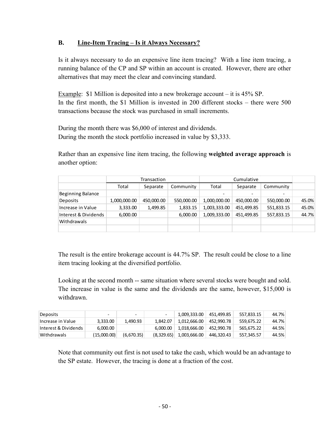# **B. Line-Item Tracing – Is it Always Necessary?**

Is it always necessary to do an expensive line item tracing? With a line item tracing, a running balance of the CP and SP within an account is created. However, there are other alternatives that may meet the clear and convincing standard.

Example: \$1 Million is deposited into a new brokerage account – it is 45% SP. In the first month, the \$1 Million is invested in 200 different stocks – there were 500 transactions because the stock was purchased in small increments.

During the month there was \$6,000 of interest and dividends. During the month the stock portfolio increased in value by \$3,333.

Rather than an expensive line item tracing, the following **weighted average approach** is another option:

|                      | Transaction  |            | Cumulative |              |                          |                          |       |
|----------------------|--------------|------------|------------|--------------|--------------------------|--------------------------|-------|
|                      | Total        | Separate   | Community  | Total        | Separate                 | Community                |       |
| Beginning Balance    |              |            |            |              | $\overline{\phantom{a}}$ | $\overline{\phantom{a}}$ |       |
| Deposits             | 1,000,000.00 | 450,000.00 | 550,000.00 | 1,000,000.00 | 450,000.00               | 550,000.00               | 45.0% |
| Increase in Value    | 3,333.00     | 1,499.85   | 1,833.15   | 1,003,333.00 | 451,499.85               | 551,833.15               | 45.0% |
| Interest & Dividends | 6,000.00     |            | 6,000.00   | 1,009,333.00 | 451,499.85               | 557,833.15               | 44.7% |
| <b>Withdrawals</b>   |              |            |            |              |                          |                          |       |
|                      |              |            |            |              |                          |                          |       |

The result is the entire brokerage account is 44.7% SP. The result could be close to a line item tracing looking at the diversified portfolio.

Looking at the second month -- same situation where several stocks were bought and sold. The increase in value is the same and the dividends are the same, however, \$15,000 is withdrawn.

| Deposits             | -           | $\overline{\phantom{0}}$ | $\overline{\phantom{0}}$ | 1,009,333.00 | 451.499.85 | 557.833.15 | 44.7% |
|----------------------|-------------|--------------------------|--------------------------|--------------|------------|------------|-------|
| Increase in Value    | 3.333.00    | 1.490.93                 | 1.842.07                 | 1.012.666.00 | 452.990.78 | 559.675.22 | 44.7% |
| Interest & Dividends | 6.000.00    |                          | 6.000.00                 | 1.018.666.00 | 452.990.78 | 565.675.22 | 44.5% |
| Withdrawals          | (15,000.00) | (6,670.35)               | (8,329.65)               | 1,003,666.00 | 446.320.43 | 557.345.57 | 44.5% |

Note that community out first is not used to take the cash, which would be an advantage to the SP estate. However, the tracing is done at a fraction of the cost.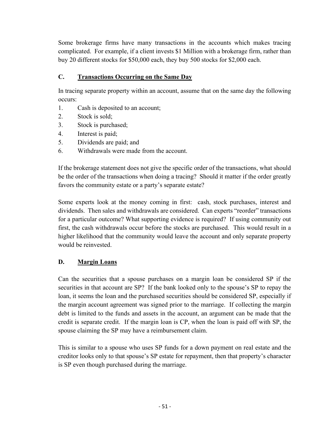Some brokerage firms have many transactions in the accounts which makes tracing complicated. For example, if a client invests \$1 Million with a brokerage firm, rather than buy 20 different stocks for \$50,000 each, they buy 500 stocks for \$2,000 each.

# **C. Transactions Occurring on the Same Day**

In tracing separate property within an account, assume that on the same day the following occurs:

- 1. Cash is deposited to an account;
- 2. Stock is sold;
- 3. Stock is purchased;
- 4. Interest is paid;
- 5. Dividends are paid; and
- 6. Withdrawals were made from the account.

If the brokerage statement does not give the specific order of the transactions, what should be the order of the transactions when doing a tracing? Should it matter if the order greatly favors the community estate or a party's separate estate?

Some experts look at the money coming in first: cash, stock purchases, interest and dividends. Then sales and withdrawals are considered. Can experts "reorder" transactions for a particular outcome? What supporting evidence is required? If using community out first, the cash withdrawals occur before the stocks are purchased. This would result in a higher likelihood that the community would leave the account and only separate property would be reinvested.

## **D. Margin Loans**

Can the securities that a spouse purchases on a margin loan be considered SP if the securities in that account are SP? If the bank looked only to the spouse's SP to repay the loan, it seems the loan and the purchased securities should be considered SP, especially if the margin account agreement was signed prior to the marriage. If collecting the margin debt is limited to the funds and assets in the account, an argument can be made that the credit is separate credit. If the margin loan is CP, when the loan is paid off with SP, the spouse claiming the SP may have a reimbursement claim.

This is similar to a spouse who uses SP funds for a down payment on real estate and the creditor looks only to that spouse's SP estate for repayment, then that property's character is SP even though purchased during the marriage.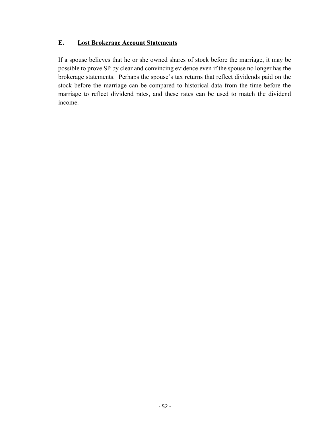# **E. Lost Brokerage Account Statements**

If a spouse believes that he or she owned shares of stock before the marriage, it may be possible to prove SP by clear and convincing evidence even if the spouse no longer has the brokerage statements. Perhaps the spouse's tax returns that reflect dividends paid on the stock before the marriage can be compared to historical data from the time before the marriage to reflect dividend rates, and these rates can be used to match the dividend income.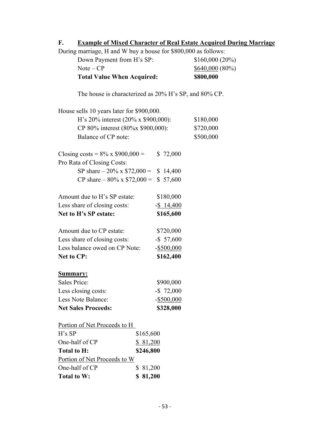# **F. Example of Mixed Character of Real Estate Acquired During Marriage**

During marriage, H and W buy a house for \$800,000 as follows:

| <b>Total Value When Acquired:</b> | \$800,000         |
|-----------------------------------|-------------------|
| Note – CP                         | $$640,000 (80\%)$ |
| Down Payment from H's SP:         | \$160,000(20%)    |

The house is characterized as 20% H's SP, and 80% CP.

| House sells 10 years later for \$900,000. |               |           |
|-------------------------------------------|---------------|-----------|
| H's 20% interest (20% x \$900,000):       | \$180,000     |           |
| CP 80% interest (80%x \$900,000):         | \$720,000     |           |
| Balance of CP note:                       |               | \$500,000 |
| Closing costs = $8\%$ x \$900,000 =       | \$72,000      |           |
| Pro Rata of Closing Costs:                |               |           |
| SP share $-20\% \times $72,000 =$         | \$14,400      |           |
| CP share $-80\% \times \$72,000 =$        | \$57,600      |           |
| Amount due to H's SP estate:              | \$180,000     |           |
| Less share of closing costs:              | $-$ \$ 14,400 |           |
| Net to H's SP estate:                     | \$165,600     |           |
| Amount due to CP estate:                  | \$720,000     |           |
| Less share of closing costs:              | $-$ \$ 57,600 |           |
| Less balance owed on CP Note:             | $-$ \$500,000 |           |
| <b>Net to CP:</b>                         | \$162,400     |           |
| Summary:                                  |               |           |
| <b>Sales Price:</b>                       | \$900,000     |           |
| Less closing costs:                       | $-$ \$ 72,000 |           |
| Less Note Balance:                        | $-$ \$500,000 |           |
| <b>Net Sales Proceeds:</b>                | \$328,000     |           |
| Portion of Net Proceeds to H              |               |           |
| $H$ 's SP                                 | \$165,600     |           |
| One-half of CP                            | \$81,200      |           |
| <b>Total to H:</b>                        | \$246,800     |           |
| Portion of Net Proceeds to W              |               |           |
| One-half of CP                            | \$<br>81,200  |           |

**Total to W: \$ 81,200**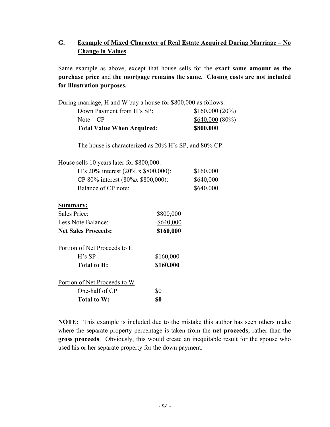# **G. Example of Mixed Character of Real Estate Acquired During Marriage – No Change in Values**

Same example as above, except that house sells for the **exact same amount as the purchase price** and **the mortgage remains the same. Closing costs are not included for illustration purposes.**

During marriage, H and W buy a house for \$800,000 as follows:

| <b>Total Value When Acquired:</b> | \$800,000         |
|-----------------------------------|-------------------|
| Note – CP                         | $$640,000 (80\%)$ |
| Down Payment from H's SP:         | $$160,000(20\%)$  |

The house is characterized as 20% H's SP, and 80% CP.

| House sells 10 years later for \$800,000.    |           |
|----------------------------------------------|-----------|
| H's 20% interest $(20\% \times \$800,000)$ : | \$160,000 |
| CP 80% interest (80%x \$800,000):            | \$640,000 |
| Balance of CP note:                          | \$640,000 |
|                                              |           |

#### **Summary:**

| <b>Net Sales Proceeds:</b> | \$160,000     |
|----------------------------|---------------|
| Less Note Balance:         | $-$ \$640,000 |
| Sales Price:               | \$800,000     |

| Portion of Net Proceeds to H |           |
|------------------------------|-----------|
| $H$ 's SP                    | \$160,000 |
| Total to H:                  | \$160,000 |
| Portion of Net Proceeds to W |           |
| One-half of $CP$             | \$0       |
| Total to W:                  | 80        |

**NOTE:** This example is included due to the mistake this author has seen others make where the separate property percentage is taken from the **net proceeds**, rather than the **gross proceeds**. Obviously, this would create an inequitable result for the spouse who used his or her separate property for the down payment.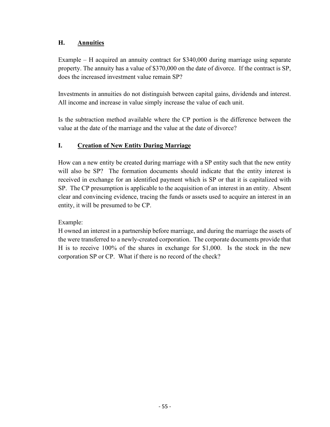# **H. Annuities**

Example – H acquired an annuity contract for \$340,000 during marriage using separate property. The annuity has a value of \$370,000 on the date of divorce. If the contract is SP, does the increased investment value remain SP?

Investments in annuities do not distinguish between capital gains, dividends and interest. All income and increase in value simply increase the value of each unit.

Is the subtraction method available where the CP portion is the difference between the value at the date of the marriage and the value at the date of divorce?

# **I. Creation of New Entity During Marriage**

How can a new entity be created during marriage with a SP entity such that the new entity will also be SP? The formation documents should indicate that the entity interest is received in exchange for an identified payment which is SP or that it is capitalized with SP. The CP presumption is applicable to the acquisition of an interest in an entity. Absent clear and convincing evidence, tracing the funds or assets used to acquire an interest in an entity, it will be presumed to be CP.

# Example:

H owned an interest in a partnership before marriage, and during the marriage the assets of the were transferred to a newly-created corporation. The corporate documents provide that H is to receive 100% of the shares in exchange for \$1,000. Is the stock in the new corporation SP or CP. What if there is no record of the check?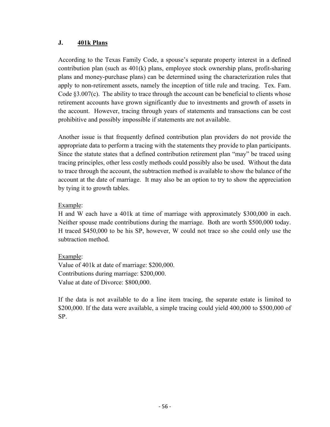## **J. 401k Plans**

According to the Texas Family Code, a spouse's separate property interest in a defined contribution plan (such as 401(k) plans, employee stock ownership plans, profit-sharing plans and money-purchase plans) can be determined using the characterization rules that apply to non-retirement assets, namely the inception of title rule and tracing. Tex. Fam. Code  $\S3.007(c)$ . The ability to trace through the account can be beneficial to clients whose retirement accounts have grown significantly due to investments and growth of assets in the account. However, tracing through years of statements and transactions can be cost prohibitive and possibly impossible if statements are not available.

Another issue is that frequently defined contribution plan providers do not provide the appropriate data to perform a tracing with the statements they provide to plan participants. Since the statute states that a defined contribution retirement plan "may" be traced using tracing principles, other less costly methods could possibly also be used. Without the data to trace through the account, the subtraction method is available to show the balance of the account at the date of marriage. It may also be an option to try to show the appreciation by tying it to growth tables.

# Example:

H and W each have a 401k at time of marriage with approximately \$300,000 in each. Neither spouse made contributions during the marriage. Both are worth \$500,000 today. H traced \$450,000 to be his SP, however, W could not trace so she could only use the subtraction method.

# Example:

Value of 401k at date of marriage: \$200,000. Contributions during marriage: \$200,000. Value at date of Divorce: \$800,000.

If the data is not available to do a line item tracing, the separate estate is limited to \$200,000. If the data were available, a simple tracing could yield 400,000 to \$500,000 of SP.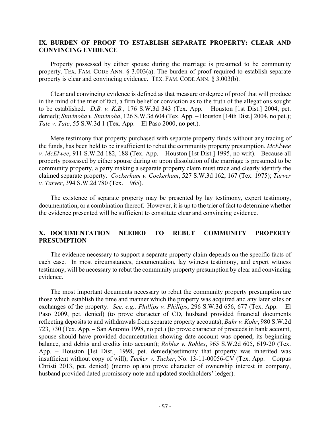#### **IX. BURDEN OF PROOF TO ESTABLISH SEPARATE PROPERTY: CLEAR AND CONVINCING EVIDENCE**

Property possessed by either spouse during the marriage is presumed to be community property. TEX. FAM. CODE ANN.  $\S$  3.003(a). The burden of proof required to establish separate property is clear and convincing evidence. TEX. FAM. CODE ANN. § 3.003(b).

Clear and convincing evidence is defined as that measure or degree of proof that will produce in the mind of the trier of fact, a firm belief or conviction as to the truth of the allegations sought to be established. *D.B. v. K.B.*, 176 S.W.3d 343 (Tex. App. – Houston [1st Dist.] 2004, pet. denied); *Stavinoha v. Stavinoha*, 126 S.W.3d 604 (Tex. App. – Houston [14th Dist.] 2004, no pet.); *Tate v. Tate*, 55 S.W.3d 1 (Tex. App. – El Paso 2000, no pet.).

Mere testimony that property purchased with separate property funds without any tracing of the funds, has been held to be insufficient to rebut the community property presumption. *McElwee v. McElwee*, 911 S.W.2d 182, 188 (Tex. App. – Houston [1st Dist.] 1995, no writ). Because all property possessed by either spouse during or upon dissolution of the marriage is presumed to be community property, a party making a separate property claim must trace and clearly identify the claimed separate property. *Cockerham v. Cockerham*, 527 S.W.3d 162, 167 (Tex. 1975); *Tarver v. Tarver*, 394 S.W.2d 780 (Tex. 1965).

The existence of separate property may be presented by lay testimony, expert testimony, documentation, or a combination thereof. However, it is up to the trier of fact to determine whether the evidence presented will be sufficient to constitute clear and convincing evidence.

### **X. DOCUMENTATION NEEDED TO REBUT COMMUNITY PROPERTY PRESUMPTION**

The evidence necessary to support a separate property claim depends on the specific facts of each case. In most circumstances, documentation, lay witness testimony, and expert witness testimony, will be necessary to rebut the community property presumption by clear and convincing evidence.

The most important documents necessary to rebut the community property presumption are those which establish the time and manner which the property was acquired and any later sales or exchanges of the property. *See, e.g., Phillips v. Phillips*, 296 S.W.3d 656, 677 (Tex. App. – El Paso 2009, pet. denied) (to prove character of CD, husband provided financial documents reflecting deposits to and withdrawals from separate property accounts); *Bahr v. Kohr*, 980 S.W.2d 723, 730 (Tex. App. – San Antonio 1998, no pet.) (to prove character of proceeds in bank account, spouse should have provided documentation showing date account was opened, its beginning balance, and debits and credits into account); *Robles v. Robles*, 965 S.W.2d 605, 619-20 (Tex. App. – Houston [1st Dist.] 1998, pet. denied)(testimony that property was inherited was insufficient without copy of will); *Tucker v. Tucker*, No. 13-11-00056-CV (Tex. App. – Corpus Christi 2013, pet. denied) (memo op.)(to prove character of ownership interest in company, husband provided dated promissory note and updated stockholders' ledger).